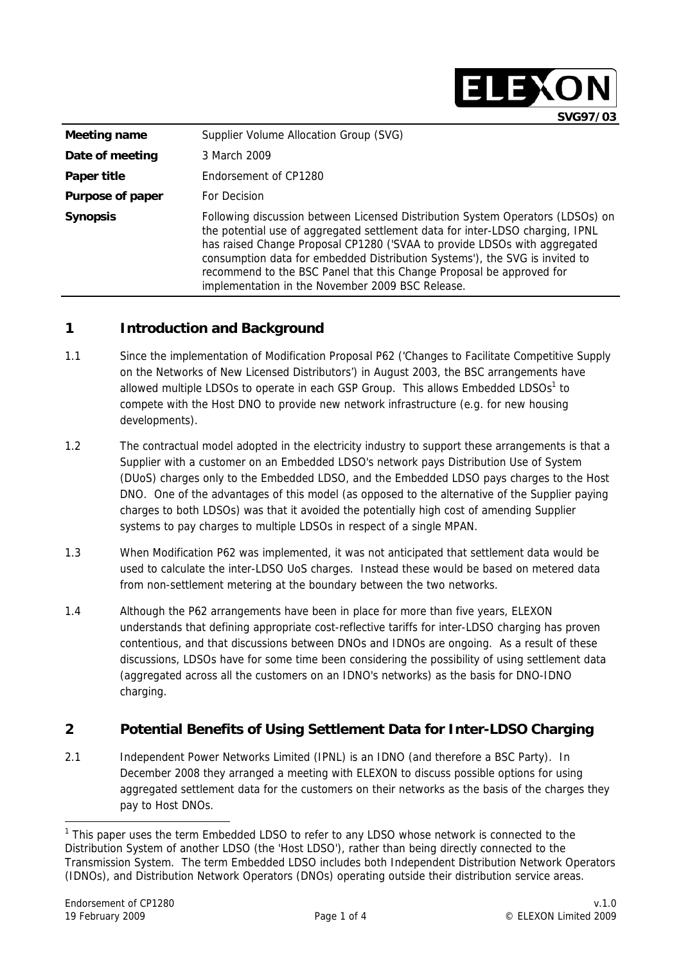|                  | SVG97/03                                                                                                                                                                                                                                                                                                                                                                                                                                                |
|------------------|---------------------------------------------------------------------------------------------------------------------------------------------------------------------------------------------------------------------------------------------------------------------------------------------------------------------------------------------------------------------------------------------------------------------------------------------------------|
| Meeting name     | Supplier Volume Allocation Group (SVG)                                                                                                                                                                                                                                                                                                                                                                                                                  |
| Date of meeting  | 3 March 2009                                                                                                                                                                                                                                                                                                                                                                                                                                            |
| Paper title      | Endorsement of CP1280                                                                                                                                                                                                                                                                                                                                                                                                                                   |
| Purpose of paper | For Decision                                                                                                                                                                                                                                                                                                                                                                                                                                            |
| <b>Synopsis</b>  | Following discussion between Licensed Distribution System Operators (LDSOs) on<br>the potential use of aggregated settlement data for inter-LDSO charging, IPNL<br>has raised Change Proposal CP1280 ('SVAA to provide LDSOs with aggregated<br>consumption data for embedded Distribution Systems'), the SVG is invited to<br>recommend to the BSC Panel that this Change Proposal be approved for<br>implementation in the November 2009 BSC Release. |

ELEX

# **1 Introduction and Background**

- 1.1 Since the implementation of Modification Proposal P62 ('Changes to Facilitate Competitive Supply on the Networks of New Licensed Distributors') in August 2003, the BSC arrangements have allowed multiple LDSOs to operate in each GSP Group. This allows Embedded LDSOs<sup>1</sup> to compete with the Host DNO to provide new network infrastructure (e.g. for new housing developments).
- 1.2 The contractual model adopted in the electricity industry to support these arrangements is that a Supplier with a customer on an Embedded LDSO's network pays Distribution Use of System (DUoS) charges only to the Embedded LDSO, and the Embedded LDSO pays charges to the Host DNO. One of the advantages of this model (as opposed to the alternative of the Supplier paying charges to both LDSOs) was that it avoided the potentially high cost of amending Supplier systems to pay charges to multiple LDSOs in respect of a single MPAN.
- 1.3 When Modification P62 was implemented, it was not anticipated that settlement data would be used to calculate the inter-LDSO UoS charges. Instead these would be based on metered data from non-settlement metering at the boundary between the two networks.
- 1.4 Although the P62 arrangements have been in place for more than five years, ELEXON understands that defining appropriate cost-reflective tariffs for inter-LDSO charging has proven contentious, and that discussions between DNOs and IDNOs are ongoing. As a result of these discussions, LDSOs have for some time been considering the possibility of using settlement data (aggregated across all the customers on an IDNO's networks) as the basis for DNO-IDNO charging.

# **2 Potential Benefits of Using Settlement Data for Inter-LDSO Charging**

2.1 Independent Power Networks Limited (IPNL) is an IDNO (and therefore a BSC Party). In December 2008 they arranged a meeting with ELEXON to discuss possible options for using aggregated settlement data for the customers on their networks as the basis of the charges they pay to Host DNOs.

<sup>&</sup>lt;sup>1</sup> This paper uses the term Embedded LDSO to refer to any LDSO whose network is connected to the Distribution System of another LDSO (the 'Host LDSO'), rather than being directly connected to the Transmission System. The term Embedded LDSO includes both Independent Distribution Network Operators (IDNOs), and Distribution Network Operators (DNOs) operating outside their distribution service areas.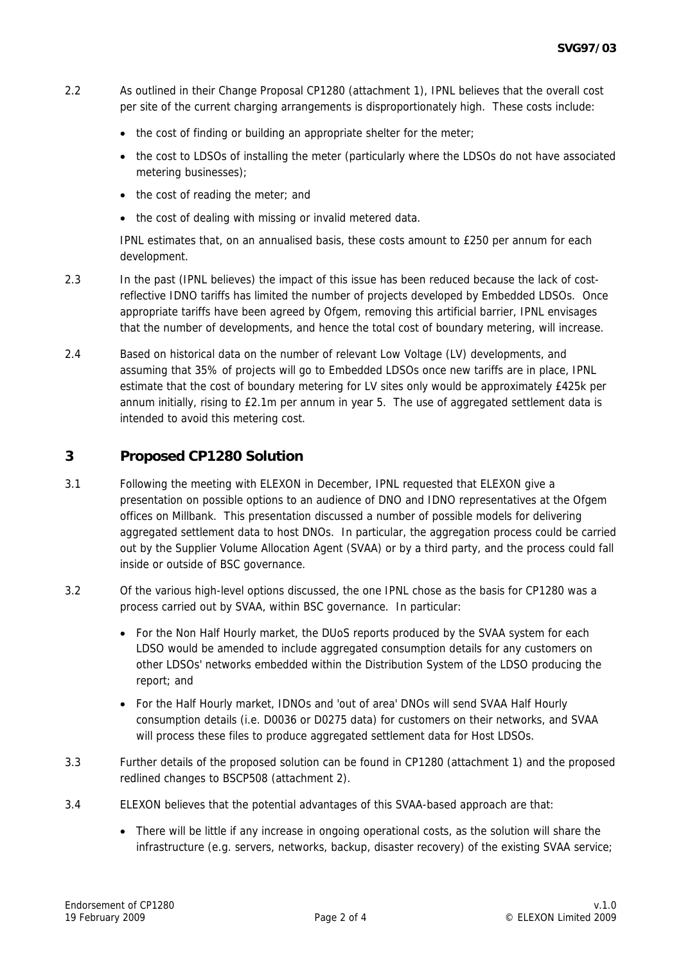- 2.2 As outlined in their Change Proposal CP1280 (attachment 1), IPNL believes that the overall cost per site of the current charging arrangements is disproportionately high. These costs include:
	- the cost of finding or building an appropriate shelter for the meter;
	- the cost to LDSOs of installing the meter (particularly where the LDSOs do not have associated metering businesses);
	- the cost of reading the meter; and
	- the cost of dealing with missing or invalid metered data.

IPNL estimates that, on an annualised basis, these costs amount to £250 per annum for each development.

- 2.3 In the past (IPNL believes) the impact of this issue has been reduced because the lack of costreflective IDNO tariffs has limited the number of projects developed by Embedded LDSOs. Once appropriate tariffs have been agreed by Ofgem, removing this artificial barrier, IPNL envisages that the number of developments, and hence the total cost of boundary metering, will increase.
- 2.4 Based on historical data on the number of relevant Low Voltage (LV) developments, and assuming that 35% of projects will go to Embedded LDSOs once new tariffs are in place, IPNL estimate that the cost of boundary metering for LV sites only would be approximately £425k per annum initially, rising to £2.1m per annum in year 5. The use of aggregated settlement data is intended to avoid this metering cost.

# **3 Proposed CP1280 Solution**

- 3.1 Following the meeting with ELEXON in December, IPNL requested that ELEXON give a presentation on possible options to an audience of DNO and IDNO representatives at the Ofgem offices on Millbank. This presentation discussed a number of possible models for delivering aggregated settlement data to host DNOs. In particular, the aggregation process could be carried out by the Supplier Volume Allocation Agent (SVAA) or by a third party, and the process could fall inside or outside of BSC governance.
- 3.2 Of the various high-level options discussed, the one IPNL chose as the basis for CP1280 was a process carried out by SVAA, within BSC governance. In particular:
	- For the Non Half Hourly market, the DUoS reports produced by the SVAA system for each LDSO would be amended to include aggregated consumption details for any customers on other LDSOs' networks embedded within the Distribution System of the LDSO producing the report; and
	- For the Half Hourly market, IDNOs and 'out of area' DNOs will send SVAA Half Hourly consumption details (i.e. D0036 or D0275 data) for customers on their networks, and SVAA will process these files to produce aggregated settlement data for Host LDSOs.
- 3.3 Further details of the proposed solution can be found in CP1280 (attachment 1) and the proposed redlined changes to BSCP508 (attachment 2).
- 3.4 ELEXON believes that the potential advantages of this SVAA-based approach are that:
	- There will be little if any increase in ongoing operational costs, as the solution will share the infrastructure (e.g. servers, networks, backup, disaster recovery) of the existing SVAA service;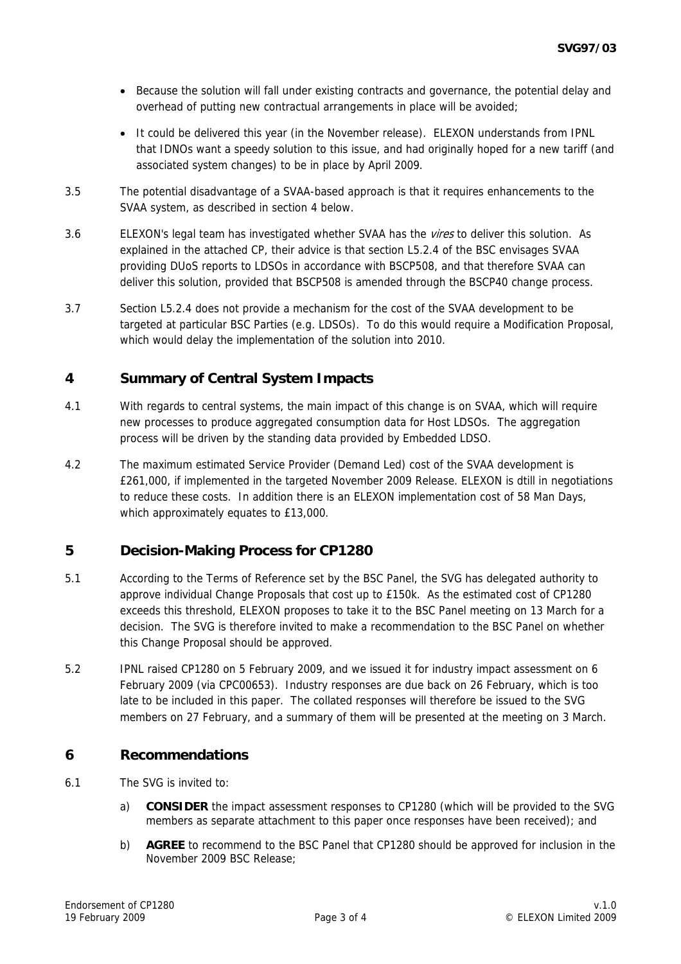- Because the solution will fall under existing contracts and governance, the potential delay and overhead of putting new contractual arrangements in place will be avoided;
- It could be delivered this year (in the November release). ELEXON understands from IPNL that IDNOs want a speedy solution to this issue, and had originally hoped for a new tariff (and associated system changes) to be in place by April 2009.
- 3.5 The potential disadvantage of a SVAA-based approach is that it requires enhancements to the SVAA system, as described in section 4 below.
- 3.6 ELEXON's legal team has investigated whether SVAA has the *vires* to deliver this solution. As explained in the attached CP, their advice is that section L5.2.4 of the BSC envisages SVAA providing DUoS reports to LDSOs in accordance with BSCP508, and that therefore SVAA can deliver this solution, provided that BSCP508 is amended through the BSCP40 change process.
- 3.7 Section L5.2.4 does not provide a mechanism for the cost of the SVAA development to be targeted at particular BSC Parties (e.g. LDSOs). To do this would require a Modification Proposal, which would delay the implementation of the solution into 2010.

# **4 Summary of Central System Impacts**

- 4.1 With regards to central systems, the main impact of this change is on SVAA, which will require new processes to produce aggregated consumption data for Host LDSOs. The aggregation process will be driven by the standing data provided by Embedded LDSO.
- 4.2 The maximum estimated Service Provider (Demand Led) cost of the SVAA development is £261,000, if implemented in the targeted November 2009 Release. ELEXON is dtill in negotiations to reduce these costs. In addition there is an ELEXON implementation cost of 58 Man Days, which approximately equates to £13,000.

### **5 Decision-Making Process for CP1280**

- 5.1 According to the Terms of Reference set by the BSC Panel, the SVG has delegated authority to approve individual Change Proposals that cost up to £150k. As the estimated cost of CP1280 exceeds this threshold, ELEXON proposes to take it to the BSC Panel meeting on 13 March for a decision. The SVG is therefore invited to make a recommendation to the BSC Panel on whether this Change Proposal should be approved.
- 5.2 IPNL raised CP1280 on 5 February 2009, and we issued it for industry impact assessment on 6 February 2009 (via CPC00653). Industry responses are due back on 26 February, which is too late to be included in this paper. The collated responses will therefore be issued to the SVG members on 27 February, and a summary of them will be presented at the meeting on 3 March.

### **6 Recommendations**

- 6.1 The SVG is invited to:
	- a) **CONSIDER** the impact assessment responses to CP1280 (which will be provided to the SVG members as separate attachment to this paper once responses have been received); and
	- b) **AGREE** to recommend to the BSC Panel that CP1280 should be approved for inclusion in the November 2009 BSC Release;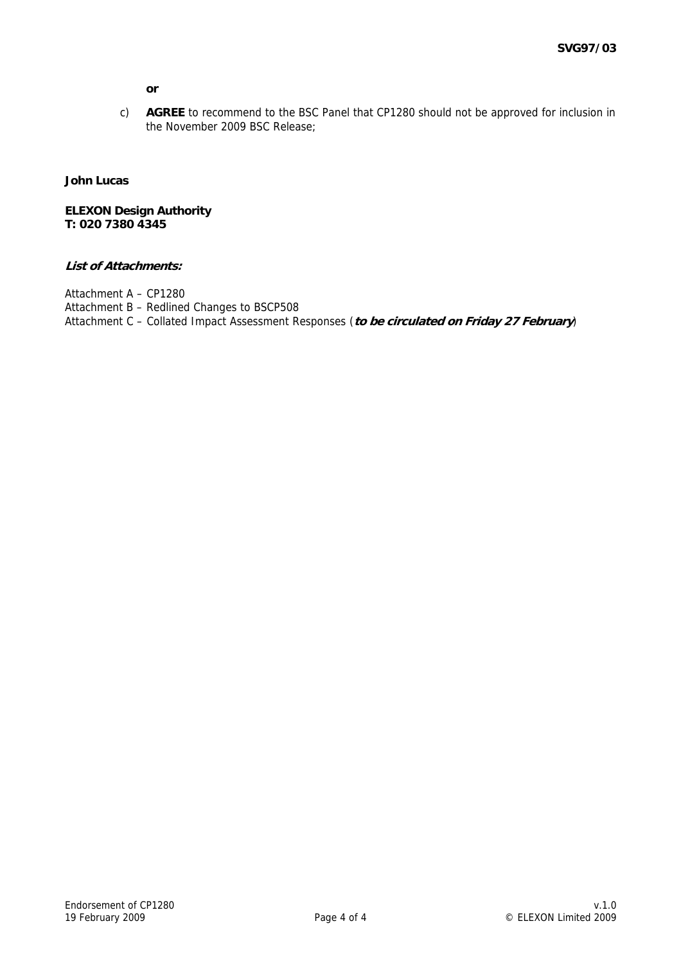**or** 

c) **AGREE** to recommend to the BSC Panel that CP1280 should not be approved for inclusion in the November 2009 BSC Release;

#### **John Lucas**

**ELEXON Design Authority T: 020 7380 4345** 

#### **List of Attachments:**

Attachment A – CP1280 Attachment B – Redlined Changes to BSCP508 Attachment C – Collated Impact Assessment Responses (**to be circulated on Friday 27 February**)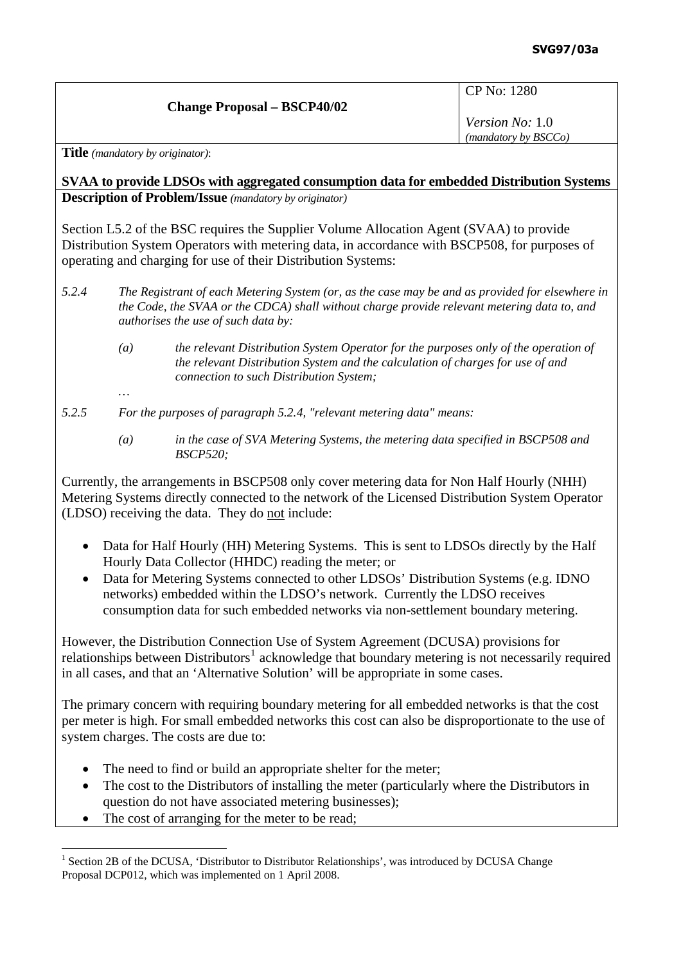| <b>Change Proposal - BSCP40/02</b> |  |
|------------------------------------|--|
|                                    |  |

*Version No:* 1.0 *(mandatory by BSCCo)*

**Title** *(mandatory by originator)*:

*…* 

**SVAA to provide LDSOs with aggregated consumption data for embedded Distribution Systems Description of Problem/Issue** *(mandatory by originator)* 

Section L5.2 of the BSC requires the Supplier Volume Allocation Agent (SVAA) to provide Distribution System Operators with metering data, in accordance with BSCP508, for purposes of operating and charging for use of their Distribution Systems:

- *5.2.4 The Registrant of each Metering System (or, as the case may be and as provided for elsewhere in the Code, the SVAA or the CDCA) shall without charge provide relevant metering data to, and authorises the use of such data by:* 
	- *(a) the relevant Distribution System Operator for the purposes only of the operation of the relevant Distribution System and the calculation of charges for use of and connection to such Distribution System;*
- *5.2.5 For the purposes of paragraph 5.2.4, "relevant metering data" means:* 
	- *(a) in the case of SVA Metering Systems, the metering data specified in BSCP508 and BSCP520;*

Currently, the arrangements in BSCP508 only cover metering data for Non Half Hourly (NHH) Metering Systems directly connected to the network of the Licensed Distribution System Operator (LDSO) receiving the data. They do not include:

- Data for Half Hourly (HH) Metering Systems. This is sent to LDSOs directly by the Half Hourly Data Collector (HHDC) reading the meter; or
- Data for Metering Systems connected to other LDSOs' Distribution Systems (e.g. IDNO networks) embedded within the LDSO's network. Currently the LDSO receives consumption data for such embedded networks via non-settlement boundary metering.

However, the Distribution Connection Use of System Agreement (DCUSA) provisions for relationships between Distributors<sup>[1](#page-4-0)</sup> acknowledge that boundary metering is not necessarily required in all cases, and that an 'Alternative Solution' will be appropriate in some cases.

The primary concern with requiring boundary metering for all embedded networks is that the cost per meter is high. For small embedded networks this cost can also be disproportionate to the use of system charges. The costs are due to:

- The need to find or build an appropriate shelter for the meter;
- The cost to the Distributors of installing the meter (particularly where the Distributors in question do not have associated metering businesses);
- The cost of arranging for the meter to be read;

<span id="page-4-0"></span> $\overline{a}$ <sup>1</sup> Section 2B of the DCUSA, 'Distributor to Distributor Relationships', was introduced by DCUSA Change Proposal DCP012, which was implemented on 1 April 2008.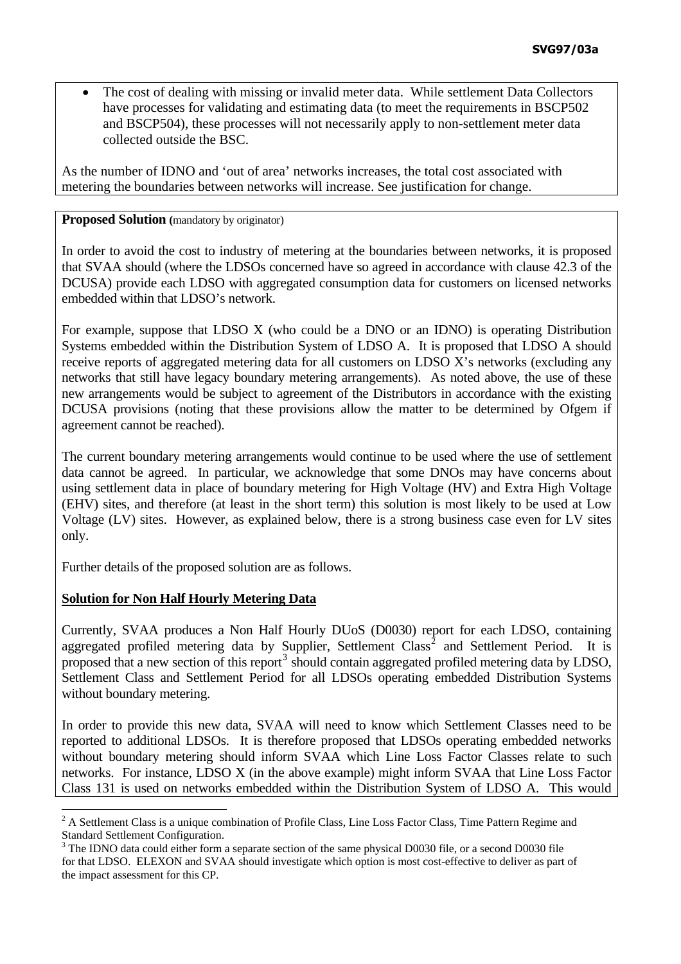• The cost of dealing with missing or invalid meter data. While settlement Data Collectors have processes for validating and estimating data (to meet the requirements in BSCP502 and BSCP504), these processes will not necessarily apply to non-settlement meter data collected outside the BSC.

As the number of IDNO and 'out of area' networks increases, the total cost associated with metering the boundaries between networks will increase. See justification for change.

#### **Proposed Solution** (mandatory by originator)

In order to avoid the cost to industry of metering at the boundaries between networks, it is proposed that SVAA should (where the LDSOs concerned have so agreed in accordance with clause 42.3 of the DCUSA) provide each LDSO with aggregated consumption data for customers on licensed networks embedded within that LDSO's network.

For example, suppose that LDSO X (who could be a DNO or an IDNO) is operating Distribution Systems embedded within the Distribution System of LDSO A. It is proposed that LDSO A should receive reports of aggregated metering data for all customers on LDSO X's networks (excluding any networks that still have legacy boundary metering arrangements). As noted above, the use of these new arrangements would be subject to agreement of the Distributors in accordance with the existing DCUSA provisions (noting that these provisions allow the matter to be determined by Ofgem if agreement cannot be reached).

The current boundary metering arrangements would continue to be used where the use of settlement data cannot be agreed. In particular, we acknowledge that some DNOs may have concerns about using settlement data in place of boundary metering for High Voltage (HV) and Extra High Voltage (EHV) sites, and therefore (at least in the short term) this solution is most likely to be used at Low Voltage (LV) sites. However, as explained below, there is a strong business case even for LV sites only.

Further details of the proposed solution are as follows.

# **Solution for Non Half Hourly Metering Data**

 $\overline{a}$ 

Currently, SVAA produces a Non Half Hourly DUoS (D0030) report for each LDSO, containing aggregated profiled metering data by Supplier, Settlement Class<sup>[2](#page-5-0)</sup> and Settlement Period. It is proposed that a new section of this report<sup>[3](#page-5-1)</sup> should contain aggregated profiled metering data by LDSO, Settlement Class and Settlement Period for all LDSOs operating embedded Distribution Systems without boundary metering.

In order to provide this new data, SVAA will need to know which Settlement Classes need to be reported to additional LDSOs. It is therefore proposed that LDSOs operating embedded networks without boundary metering should inform SVAA which Line Loss Factor Classes relate to such networks. For instance, LDSO X (in the above example) might inform SVAA that Line Loss Factor Class 131 is used on networks embedded within the Distribution System of LDSO A. This would

<span id="page-5-0"></span><sup>&</sup>lt;sup>2</sup> A Settlement Class is a unique combination of Profile Class, Line Loss Factor Class, Time Pattern Regime and Standard Settlement Configuration.

<span id="page-5-1"></span><sup>&</sup>lt;sup>3</sup> The IDNO data could either form a separate section of the same physical D0030 file, or a second D0030 file for that LDSO. ELEXON and SVAA should investigate which option is most cost-effective to deliver as part of the impact assessment for this CP.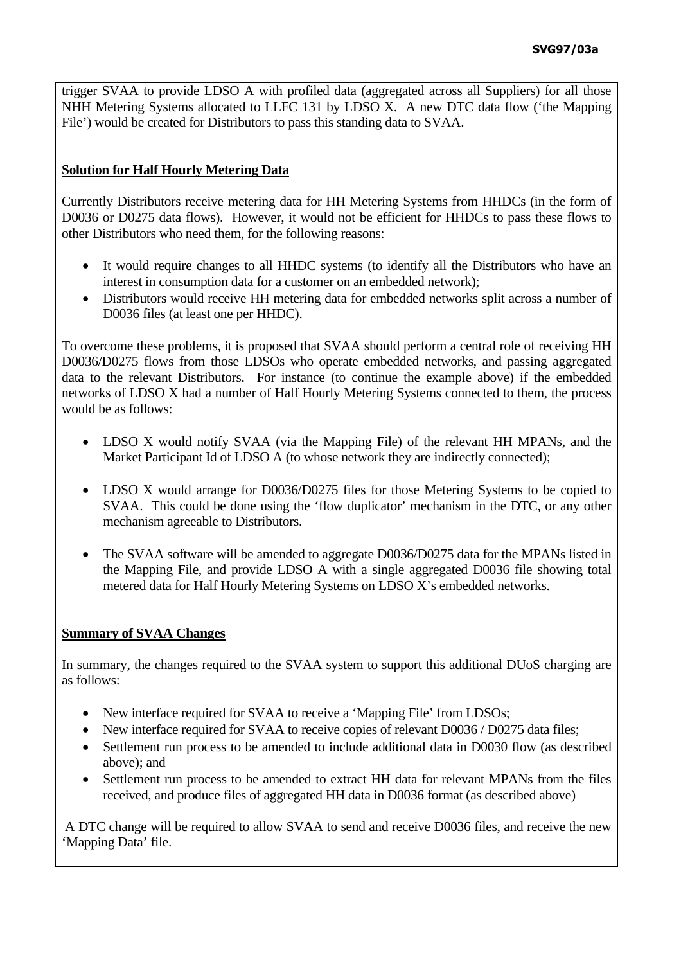trigger SVAA to provide LDSO A with profiled data (aggregated across all Suppliers) for all those NHH Metering Systems allocated to LLFC 131 by LDSO X. A new DTC data flow ('the Mapping File') would be created for Distributors to pass this standing data to SVAA.

## **Solution for Half Hourly Metering Data**

Currently Distributors receive metering data for HH Metering Systems from HHDCs (in the form of D0036 or D0275 data flows). However, it would not be efficient for HHDCs to pass these flows to other Distributors who need them, for the following reasons:

- It would require changes to all HHDC systems (to identify all the Distributors who have an interest in consumption data for a customer on an embedded network);
- Distributors would receive HH metering data for embedded networks split across a number of D0036 files (at least one per HHDC).

To overcome these problems, it is proposed that SVAA should perform a central role of receiving HH D0036/D0275 flows from those LDSOs who operate embedded networks, and passing aggregated data to the relevant Distributors. For instance (to continue the example above) if the embedded networks of LDSO X had a number of Half Hourly Metering Systems connected to them, the process would be as follows:

- LDSO X would notify SVAA (via the Mapping File) of the relevant HH MPANs, and the Market Participant Id of LDSO A (to whose network they are indirectly connected);
- LDSO X would arrange for D0036/D0275 files for those Metering Systems to be copied to SVAA. This could be done using the 'flow duplicator' mechanism in the DTC, or any other mechanism agreeable to Distributors.
- The SVAA software will be amended to aggregate D0036/D0275 data for the MPANs listed in the Mapping File, and provide LDSO A with a single aggregated D0036 file showing total metered data for Half Hourly Metering Systems on LDSO X's embedded networks.

#### **Summary of SVAA Changes**

In summary, the changes required to the SVAA system to support this additional DUoS charging are as follows:

- New interface required for SVAA to receive a 'Mapping File' from LDSOs;
- New interface required for SVAA to receive copies of relevant D0036 / D0275 data files;
- Settlement run process to be amended to include additional data in D0030 flow (as described above); and
- Settlement run process to be amended to extract HH data for relevant MPANs from the files received, and produce files of aggregated HH data in D0036 format (as described above)

 A DTC change will be required to allow SVAA to send and receive D0036 files, and receive the new 'Mapping Data' file.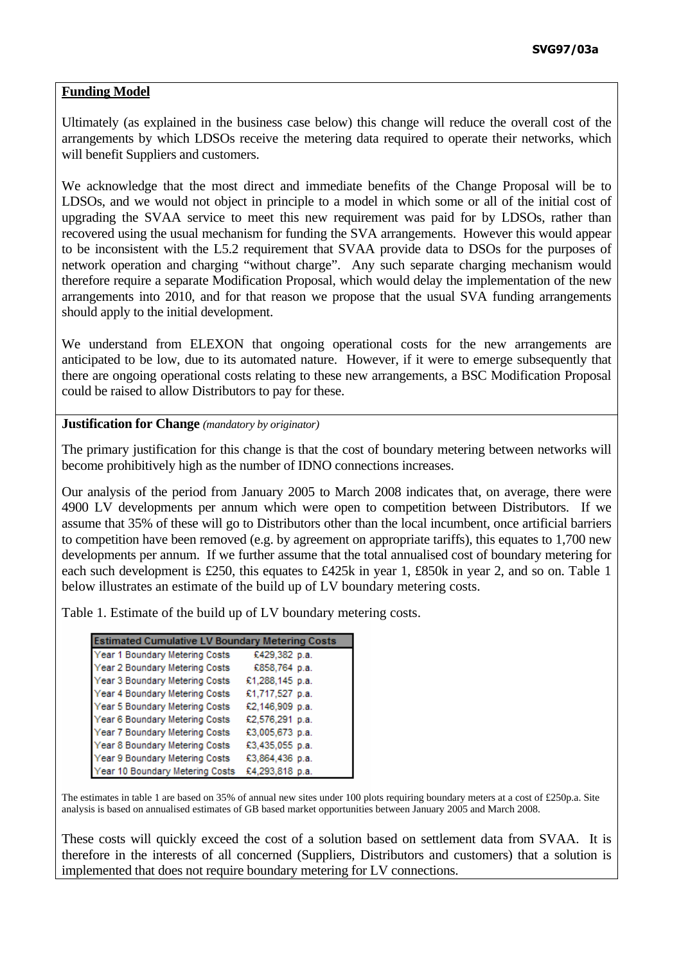## **Funding Model**

Ultimately (as explained in the business case below) this change will reduce the overall cost of the arrangements by which LDSOs receive the metering data required to operate their networks, which will benefit Suppliers and customers.

We acknowledge that the most direct and immediate benefits of the Change Proposal will be to LDSOs, and we would not object in principle to a model in which some or all of the initial cost of upgrading the SVAA service to meet this new requirement was paid for by LDSOs, rather than recovered using the usual mechanism for funding the SVA arrangements. However this would appear to be inconsistent with the L5.2 requirement that SVAA provide data to DSOs for the purposes of network operation and charging "without charge". Any such separate charging mechanism would therefore require a separate Modification Proposal, which would delay the implementation of the new arrangements into 2010, and for that reason we propose that the usual SVA funding arrangements should apply to the initial development.

We understand from ELEXON that ongoing operational costs for the new arrangements are anticipated to be low, due to its automated nature. However, if it were to emerge subsequently that there are ongoing operational costs relating to these new arrangements, a BSC Modification Proposal could be raised to allow Distributors to pay for these.

#### **Justification for Change** *(mandatory by originator)*

The primary justification for this change is that the cost of boundary metering between networks will become prohibitively high as the number of IDNO connections increases.

Our analysis of the period from January 2005 to March 2008 indicates that, on average, there were 4900 LV developments per annum which were open to competition between Distributors. If we assume that 35% of these will go to Distributors other than the local incumbent, once artificial barriers to competition have been removed (e.g. by agreement on appropriate tariffs), this equates to 1,700 new developments per annum. If we further assume that the total annualised cost of boundary metering for each such development is £250, this equates to £425k in year 1, £850k in year 2, and so on. Table 1 below illustrates an estimate of the build up of LV boundary metering costs.

Table 1. Estimate of the build up of LV boundary metering costs.

| <b>Estimated Cumulative LV Boundary Metering Costs</b> |                 |
|--------------------------------------------------------|-----------------|
| Year 1 Boundary Metering Costs                         | £429,382 p.a.   |
| Year 2 Boundary Metering Costs                         | £858,764 p.a.   |
| Year 3 Boundary Metering Costs                         | £1,288,145 p.a. |
| Year 4 Boundary Metering Costs                         | £1,717,527 p.a. |
| Year 5 Boundary Metering Costs                         | £2,146,909 p.a. |
| Year 6 Boundary Metering Costs                         | £2,576,291 p.a. |
| Year 7 Boundary Metering Costs                         | £3,005,673 p.a. |
| Year 8 Boundary Metering Costs                         | £3,435,055 p.a. |
| Year 9 Boundary Metering Costs                         | £3,864,436 p.a. |
| Year 10 Boundary Metering Costs                        | £4,293,818 p.a. |

The estimates in table 1 are based on 35% of annual new sites under 100 plots requiring boundary meters at a cost of £250p.a. Site analysis is based on annualised estimates of GB based market opportunities between January 2005 and March 2008.

These costs will quickly exceed the cost of a solution based on settlement data from SVAA. It is therefore in the interests of all concerned (Suppliers, Distributors and customers) that a solution is implemented that does not require boundary metering for LV connections.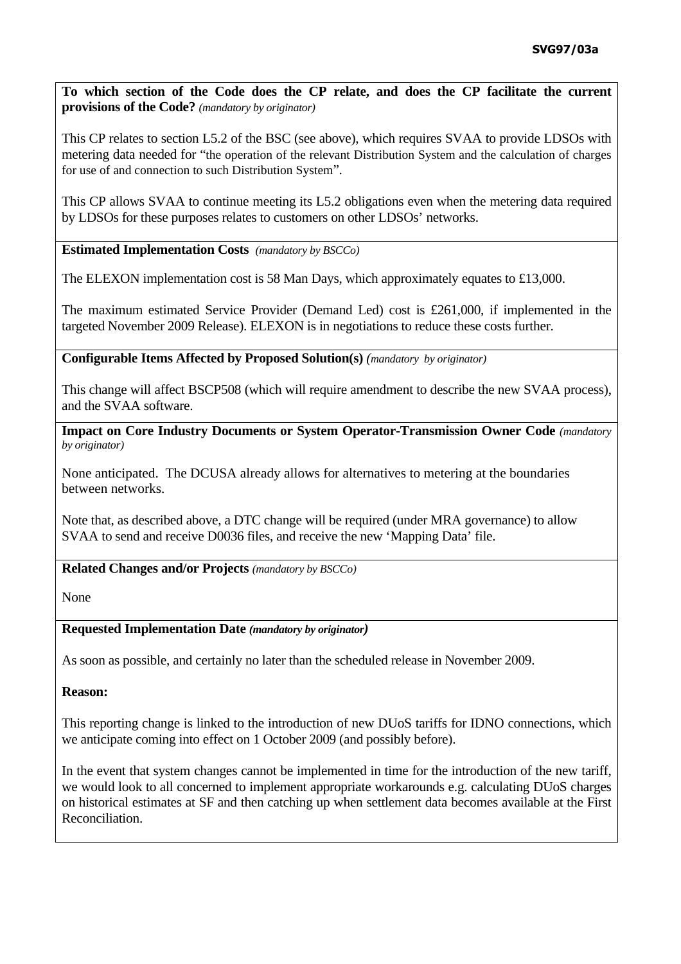**To which section of the Code does the CP relate, and does the CP facilitate the current provisions of the Code?** *(mandatory by originator)* 

This CP relates to section L5.2 of the BSC (see above), which requires SVAA to provide LDSOs with metering data needed for "the operation of the relevant Distribution System and the calculation of charges for use of and connection to such Distribution System".

This CP allows SVAA to continue meeting its L5.2 obligations even when the metering data required by LDSOs for these purposes relates to customers on other LDSOs' networks.

**Estimated Implementation Costs** *(mandatory by BSCCo)* 

The ELEXON implementation cost is 58 Man Days, which approximately equates to £13,000.

The maximum estimated Service Provider (Demand Led) cost is £261,000, if implemented in the targeted November 2009 Release). ELEXON is in negotiations to reduce these costs further.

**Configurable Items Affected by Proposed Solution(s)** *(mandatory by originator)* 

This change will affect BSCP508 (which will require amendment to describe the new SVAA process), and the SVAA software.

**Impact on Core Industry Documents or System Operator-Transmission Owner Code** *(mandatory by originator)* 

None anticipated. The DCUSA already allows for alternatives to metering at the boundaries between networks.

Note that, as described above, a DTC change will be required (under MRA governance) to allow SVAA to send and receive D0036 files, and receive the new 'Mapping Data' file.

**Related Changes and/or Projects** *(mandatory by BSCCo)* 

None

## **Requested Implementation Date** *(mandatory by originator)*

As soon as possible, and certainly no later than the scheduled release in November 2009.

#### **Reason:**

This reporting change is linked to the introduction of new DUoS tariffs for IDNO connections, which we anticipate coming into effect on 1 October 2009 (and possibly before).

In the event that system changes cannot be implemented in time for the introduction of the new tariff, we would look to all concerned to implement appropriate workarounds e.g. calculating DUoS charges on historical estimates at SF and then catching up when settlement data becomes available at the First Reconciliation.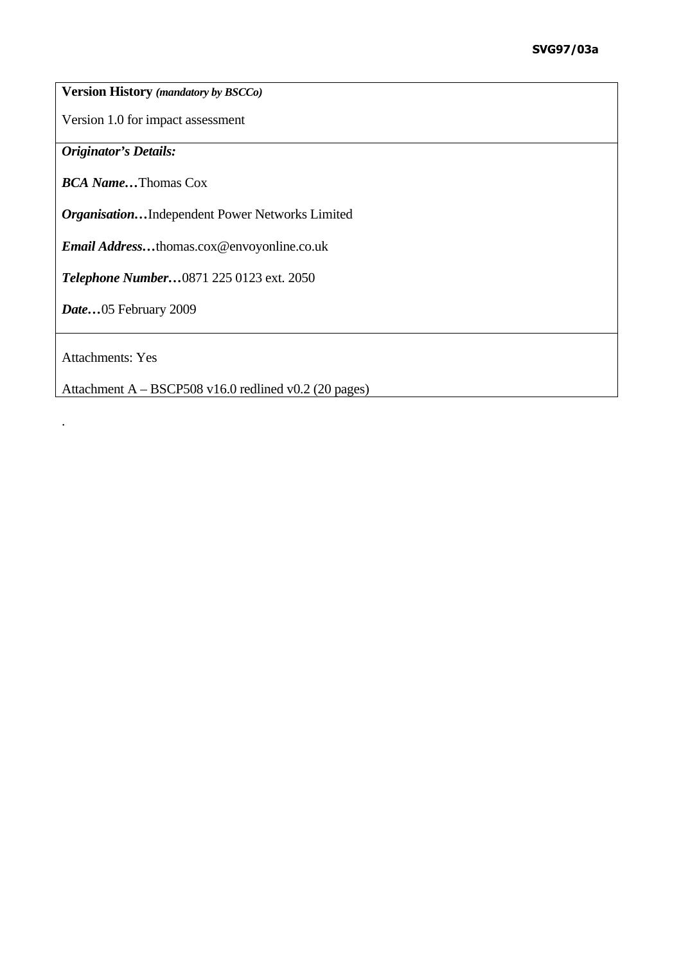**Version History** *(mandatory by BSCCo)* 

Version 1.0 for impact assessment

*Originator's Details:* 

*BCA Name…*Thomas Cox

*Organisation…*Independent Power Networks Limited

*Email Address…*thomas.cox@envoyonline.co.uk

*Telephone Number…*0871 225 0123 ext. 2050

*Date…*05 February 2009

Attachments: Yes

.

Attachment A – BSCP508 v16.0 redlined v0.2 (20 pages)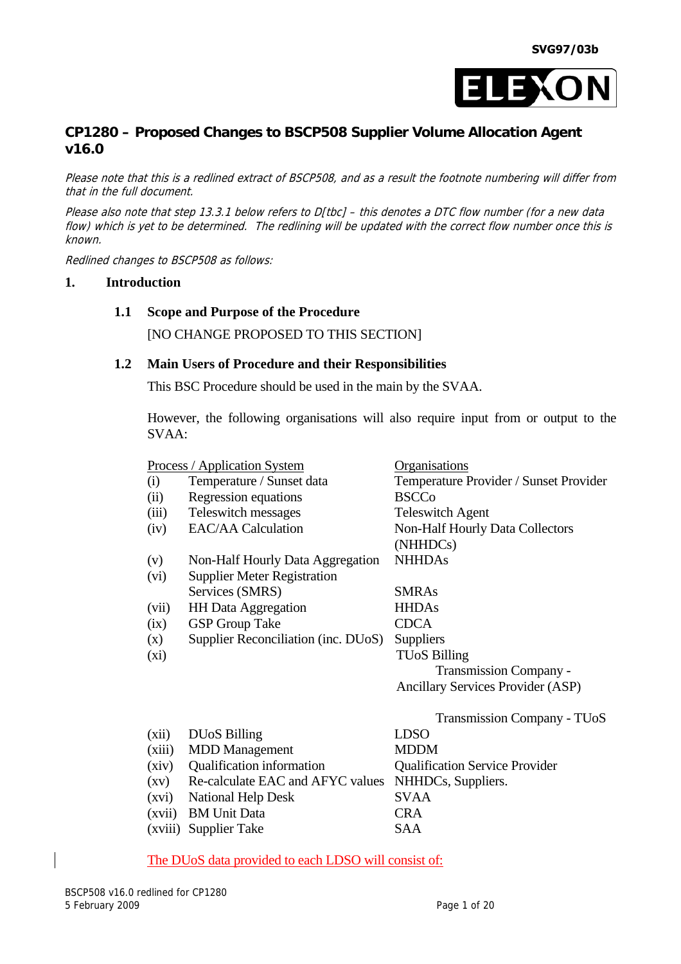

# **CP1280 – Proposed Changes to BSCP508 Supplier Volume Allocation Agent v16.0**

Please note that this is a redlined extract of BSCP508, and as a result the footnote numbering will differ from that in the full document.

Please also note that step 13.3.1 below refers to D[tbc] - this denotes a DTC flow number (for a new data flow) which is yet to be determined. The redlining will be updated with the correct flow number once this is known.

Redlined changes to BSCP508 as follows:

### **1. Introduction**

#### **1.1 Scope and Purpose of the Procedure**

[NO CHANGE PROPOSED TO THIS SECTION]

#### **1.2 Main Users of Procedure and their Responsibilities**

This BSC Procedure should be used in the main by the SVAA.

However, the following organisations will also require input from or output to the SVAA:

|                    | <u>Process / Application System</u> | <u>Organisations</u>                     |
|--------------------|-------------------------------------|------------------------------------------|
| (i)                | Temperature / Sunset data           | Temperature Provider / Sunset Provider   |
| (ii)               | Regression equations                | <b>BSCCo</b>                             |
| (iii)              | Teleswitch messages                 | <b>Teleswitch Agent</b>                  |
| (iv)               | <b>EAC/AA Calculation</b>           | <b>Non-Half Hourly Data Collectors</b>   |
|                    |                                     | (NHHDCs)                                 |
| (v)                | Non-Half Hourly Data Aggregation    | <b>NHHDAs</b>                            |
| (vi)               | <b>Supplier Meter Registration</b>  |                                          |
|                    | Services (SMRS)                     | <b>SMRAs</b>                             |
| (vii)              | <b>HH</b> Data Aggregation          | <b>HHDAs</b>                             |
| (ix)               | <b>GSP</b> Group Take               | <b>CDCA</b>                              |
| (x)                | Supplier Reconciliation (inc. DUoS) | <b>Suppliers</b>                         |
| $(x_i)$            |                                     | <b>TUoS Billing</b>                      |
|                    |                                     | <b>Transmission Company -</b>            |
|                    |                                     | <b>Ancillary Services Provider (ASP)</b> |
|                    |                                     | <b>Transmission Company - TUoS</b>       |
| (xii)              | <b>DU<sub>o</sub>S</b> Billing      | <b>LDSO</b>                              |
| (xiii)             | <b>MDD</b> Management               | <b>MDDM</b>                              |
| (xiv)              | Qualification information           | <b>Qualification Service Provider</b>    |
| $\left( xy\right)$ | Re-calculate EAC and AFYC values    | NHHDCs, Suppliers.                       |
| (xvi)              | <b>National Help Desk</b>           | <b>SVAA</b>                              |
| (xvii)             | <b>BM Unit Data</b>                 | <b>CRA</b>                               |
| (xviii)            | <b>Supplier Take</b>                | SAA                                      |

#### The DUoS data provided to each LDSO will consist of: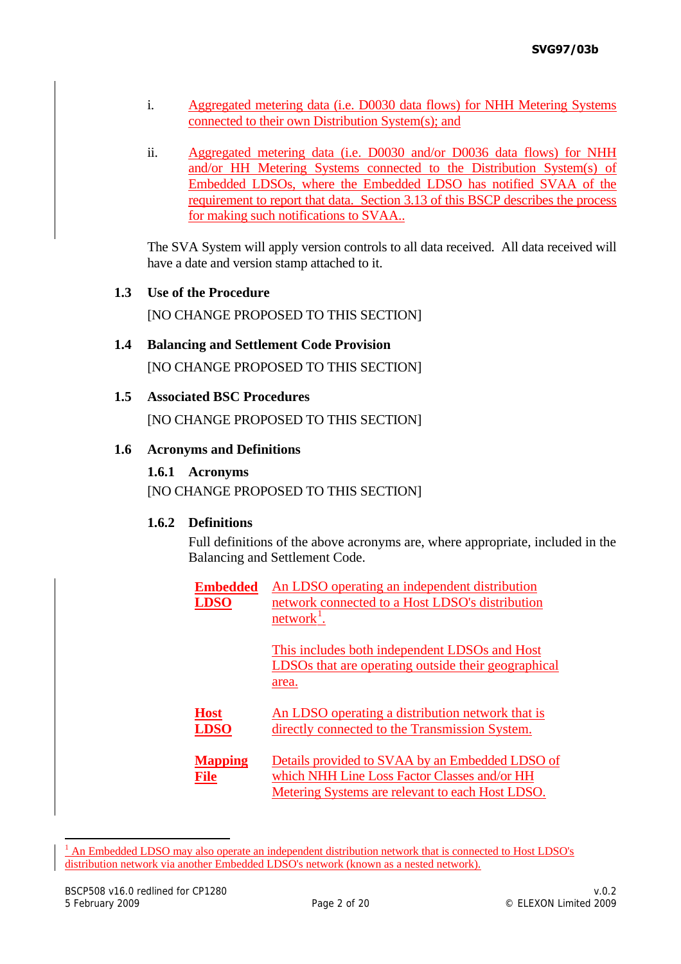- i. Aggregated metering data (i.e. D0030 data flows) for NHH Metering Systems connected to their own Distribution System(s); and
- ii. Aggregated metering data (i.e. D0030 and/or D0036 data flows) for NHH and/or HH Metering Systems connected to the Distribution System(s) of Embedded LDSOs, where the Embedded LDSO has notified SVAA of the requirement to report that data. Section 3.13 of this BSCP describes the process for making such notifications to SVAA..

The SVA System will apply version controls to all data received. All data received will have a date and version stamp attached to it.

**1.3 Use of the Procedure** 

[NO CHANGE PROPOSED TO THIS SECTION]

**1.4 Balancing and Settlement Code Provision**  [NO CHANGE PROPOSED TO THIS SECTION]

# **1.5 Associated BSC Procedures**

[NO CHANGE PROPOSED TO THIS SECTION]

### **1.6 Acronyms and Definitions**

#### **1.6.1 Acronyms**

[NO CHANGE PROPOSED TO THIS SECTION]

### **1.6.2 Definitions**

Full definitions of the above acronyms are, where appropriate, included in the Balancing and Settlement Code.

| <b>Embedded</b><br><b>LDSO</b> | An LDSO operating an independent distribution<br>network connected to a Host LDSO's distribution<br>network <sup>1</sup> .                          |
|--------------------------------|-----------------------------------------------------------------------------------------------------------------------------------------------------|
|                                | This includes both independent LDSOs and Host<br>LDSOs that are operating outside their geographical<br>area.                                       |
| <b>Host</b><br><b>LDSO</b>     | An LDSO operating a distribution network that is<br>directly connected to the Transmission System.                                                  |
| <b>Mapping</b><br>File         | Details provided to SVAA by an Embedded LDSO of<br>which NHH Line Loss Factor Classes and/or HH<br>Metering Systems are relevant to each Host LDSO. |

<span id="page-11-0"></span><sup>&</sup>lt;sup>1</sup> An Embedded LDSO may also operate an independent distribution network that is connected to Host LDSO's distribution network via another Embedded LDSO's network (known as a nested network).

-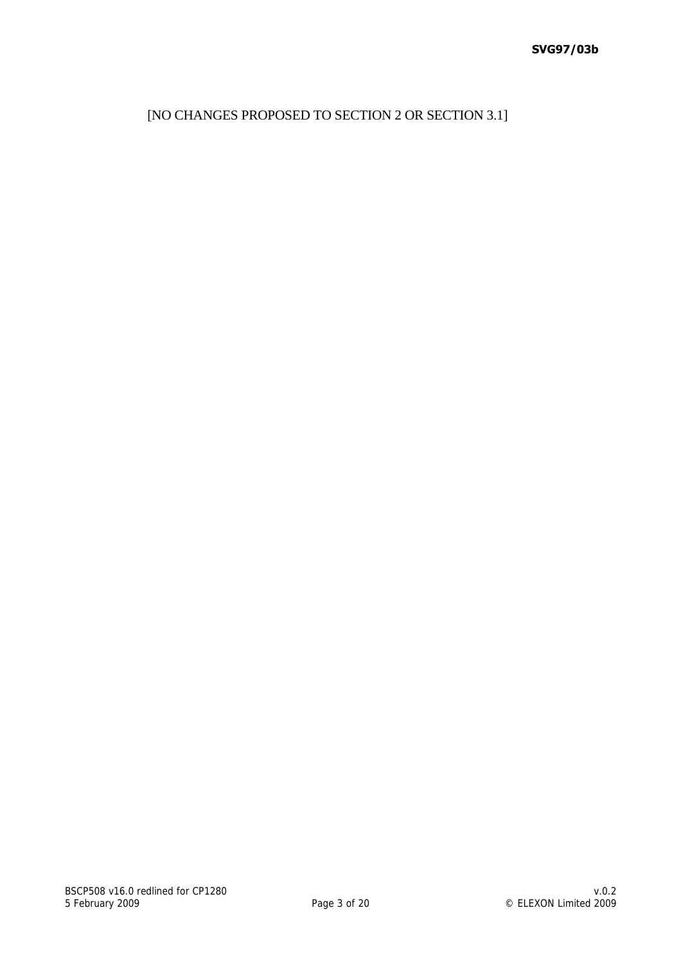[NO CHANGES PROPOSED TO SECTION 2 OR SECTION 3.1]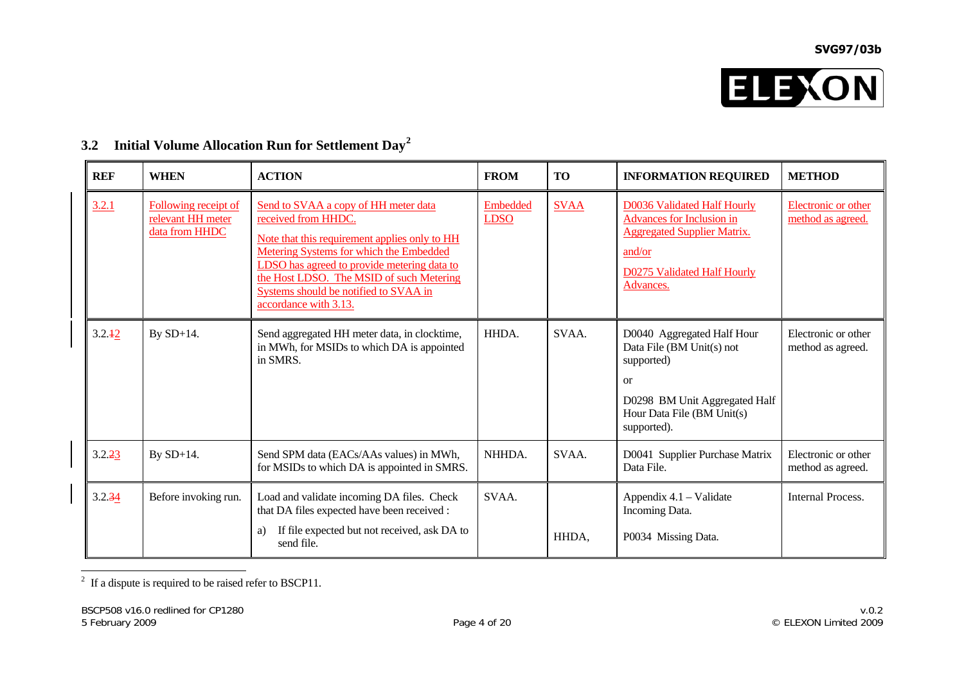

| <b>REF</b> | <b>WHEN</b>                                                 | <b>ACTION</b>                                                                                                                                                                                                                                                                                                               | <b>FROM</b>             | <b>TO</b>   | <b>INFORMATION REQUIRED</b>                                                                                                                                               | <b>METHOD</b>                                   |
|------------|-------------------------------------------------------------|-----------------------------------------------------------------------------------------------------------------------------------------------------------------------------------------------------------------------------------------------------------------------------------------------------------------------------|-------------------------|-------------|---------------------------------------------------------------------------------------------------------------------------------------------------------------------------|-------------------------------------------------|
| 3.2.1      | Following receipt of<br>relevant HH meter<br>data from HHDC | Send to SVAA a copy of HH meter data<br>received from HHDC.<br>Note that this requirement applies only to HH<br><b>Metering Systems for which the Embedded</b><br>LDSO has agreed to provide metering data to<br>the Host LDSO. The MSID of such Metering<br>Systems should be notified to SVAA in<br>accordance with 3.13. | Embedded<br><b>LDSO</b> | <b>SVAA</b> | <b>D0036 Validated Half Hourly</b><br><b>Advances for Inclusion in</b><br><b>Aggregated Supplier Matrix.</b><br>and/or<br><b>D0275 Validated Half Hourly</b><br>Advances. | <b>Electronic or other</b><br>method as agreed. |
| 3.2.42     | By SD+14.                                                   | Send aggregated HH meter data, in clocktime,<br>in MWh, for MSIDs to which DA is appointed<br>in SMRS.                                                                                                                                                                                                                      | HHDA.                   | SVAA.       | D0040 Aggregated Half Hour<br>Data File (BM Unit(s) not<br>supported)<br><sub>or</sub><br>D0298 BM Unit Aggregated Half<br>Hour Data File (BM Unit(s)<br>supported).      | Electronic or other<br>method as agreed.        |
| 3.2.23     | By SD+14.                                                   | Send SPM data (EACs/AAs values) in MWh,<br>for MSIDs to which DA is appointed in SMRS.                                                                                                                                                                                                                                      | NHHDA.                  | SVAA.       | D0041 Supplier Purchase Matrix<br>Data File.                                                                                                                              | Electronic or other<br>method as agreed.        |
| 3.2.34     | Before invoking run.                                        | Load and validate incoming DA files. Check<br>that DA files expected have been received :<br>If file expected but not received, ask DA to<br>a)<br>send file.                                                                                                                                                               | SVAA.                   | HHDA,       | Appendix 4.1 – Validate<br>Incoming Data.<br>P0034 Missing Data.                                                                                                          | Internal Process.                               |

# **3.2 Initial Volume Allocation Run for Settlement Day[2](#page-13-0)**

<span id="page-13-0"></span> $\overline{a}$  If a dispute is required to be raised refer to BSCP11.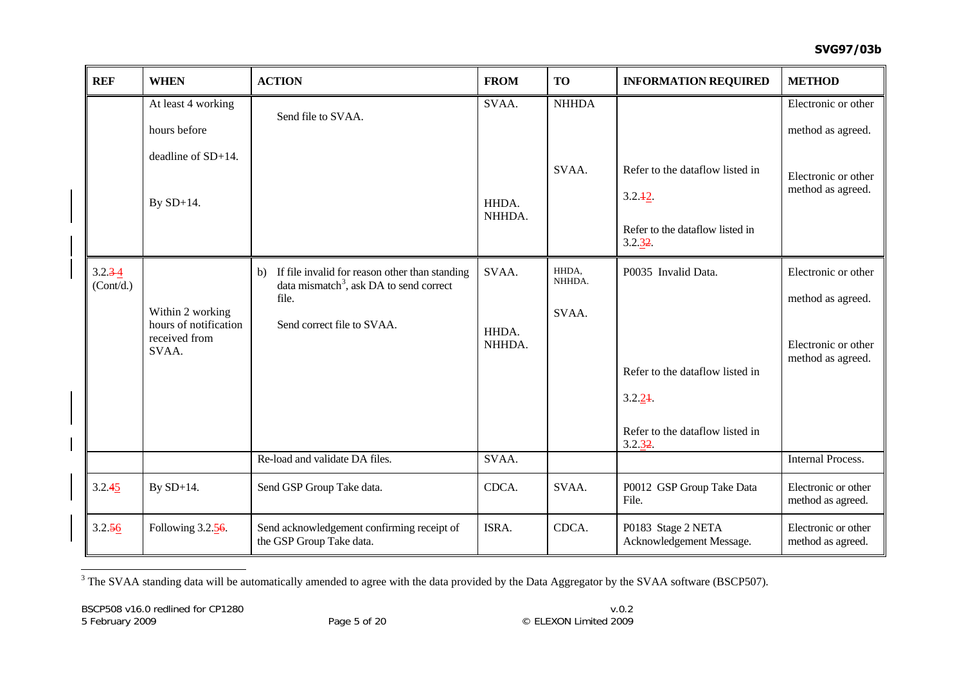| <b>REF</b>               | <b>WHEN</b>                                                         | <b>ACTION</b>                                                                                                                                   | <b>FROM</b>              | <b>TO</b>                | <b>INFORMATION REQUIRED</b>                                                                                    | <b>METHOD</b>                                                                        |
|--------------------------|---------------------------------------------------------------------|-------------------------------------------------------------------------------------------------------------------------------------------------|--------------------------|--------------------------|----------------------------------------------------------------------------------------------------------------|--------------------------------------------------------------------------------------|
|                          | At least 4 working<br>hours before                                  | Send file to SVAA.                                                                                                                              | SVAA.                    | <b>NHHDA</b>             |                                                                                                                | Electronic or other<br>method as agreed.                                             |
|                          | deadline of SD+14.<br>By $SD+14$ .                                  |                                                                                                                                                 | HHDA.<br>NHHDA.          | SVAA.                    | Refer to the dataflow listed in<br>3.2.12.<br>Refer to the dataflow listed in<br>3.2.32.                       | Electronic or other<br>method as agreed.                                             |
| $3.2.3 - 4$<br>(Cont/d.) | Within 2 working<br>hours of notification<br>received from<br>SVAA. | b) If file invalid for reason other than standing<br>data mismatch <sup>3</sup> , ask DA to send correct<br>file.<br>Send correct file to SVAA. | SVAA.<br>HHDA.<br>NHHDA. | HHDA,<br>NHHDA.<br>SVAA. | P0035 Invalid Data.<br>Refer to the dataflow listed in<br>3.2.24<br>Refer to the dataflow listed in<br>3.2.32. | Electronic or other<br>method as agreed.<br>Electronic or other<br>method as agreed. |
|                          |                                                                     | Re-load and validate DA files.                                                                                                                  | SVAA.                    |                          |                                                                                                                | <b>Internal Process.</b>                                                             |
| 3.2.45                   | By $SD+14$ .                                                        | Send GSP Group Take data.                                                                                                                       | CDCA.                    | SVAA.                    | P0012 GSP Group Take Data<br>File.                                                                             | Electronic or other<br>method as agreed.                                             |
| 3.2.56                   | Following 3.2.56.                                                   | Send acknowledgement confirming receipt of<br>the GSP Group Take data.                                                                          | ISRA.                    | CDCA.                    | P0183 Stage 2 NETA<br>Acknowledgement Message.                                                                 | Electronic or other<br>method as agreed.                                             |

<span id="page-14-0"></span><sup>&</sup>lt;sup>3</sup> The SVAA standing data will be automatically amended to agree with the data provided by the Data Aggregator by the SVAA software (BSCP507).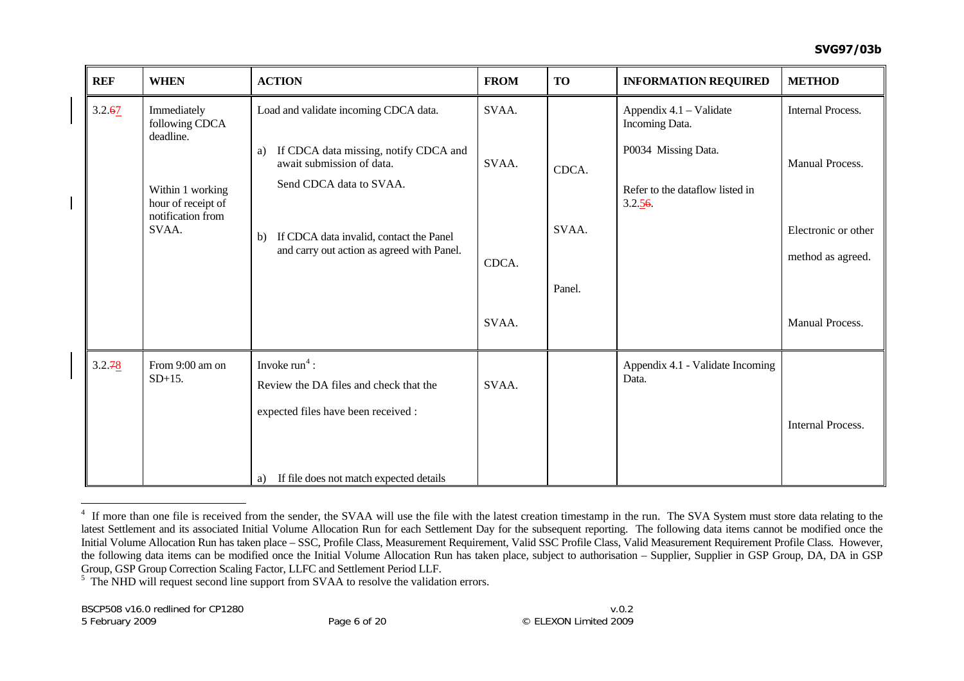| <b>REF</b> | <b>WHEN</b>                                                                                                        | <b>ACTION</b>                                                                                                                                                                                                                               | <b>FROM</b>                      | <b>TO</b>                | <b>INFORMATION REQUIRED</b>                                                                                   | <b>METHOD</b>                                                                                              |
|------------|--------------------------------------------------------------------------------------------------------------------|---------------------------------------------------------------------------------------------------------------------------------------------------------------------------------------------------------------------------------------------|----------------------------------|--------------------------|---------------------------------------------------------------------------------------------------------------|------------------------------------------------------------------------------------------------------------|
| 3.2.67     | Immediately<br>following CDCA<br>deadline.<br>Within 1 working<br>hour of receipt of<br>notification from<br>SVAA. | Load and validate incoming CDCA data.<br>If CDCA data missing, notify CDCA and<br>a)<br>await submission of data.<br>Send CDCA data to SVAA.<br>If CDCA data invalid, contact the Panel<br>b)<br>and carry out action as agreed with Panel. | SVAA.<br>SVAA.<br>CDCA.<br>SVAA. | CDCA.<br>SVAA.<br>Panel. | Appendix 4.1 - Validate<br>Incoming Data.<br>P0034 Missing Data.<br>Refer to the dataflow listed in<br>3.2.56 | <b>Internal Process.</b><br>Manual Process.<br>Electronic or other<br>method as agreed.<br>Manual Process. |
| 3.2.78     | From 9:00 am on<br>$SD+15$ .                                                                                       | Invoke $run4$ :<br>Review the DA files and check that the<br>expected files have been received :<br>a) If file does not match expected details                                                                                              | SVAA.                            |                          | Appendix 4.1 - Validate Incoming<br>Data.                                                                     | <b>Internal Process.</b>                                                                                   |

<span id="page-15-0"></span><sup>&</sup>lt;sup>4</sup> If more than one file is received from the sender, the SVAA will use the file with the latest creation timestamp in the run. The SVA System must store data relating to the latest Settlement and its associated Initial Volume Allocation Run for each Settlement Day for the subsequent reporting. The following data items cannot be modified once the Initial Volume Allocation Run has taken place – SSC, Profile Class, Measurement Requirement, Valid SSC Profile Class, Valid Measurement Requirement Profile Class. However, the following data items can be modified once the Initial Volume Allocation Run has taken place, subject to authorisation – Supplier, Supplier in GSP Group, DA, DA in GSP Group, GSP Group Correction Scaling Factor, LLFC and Settlement Period LLF.

<sup>&</sup>lt;sup>5</sup> The NHD will request second line support from SVAA to resolve the validation errors.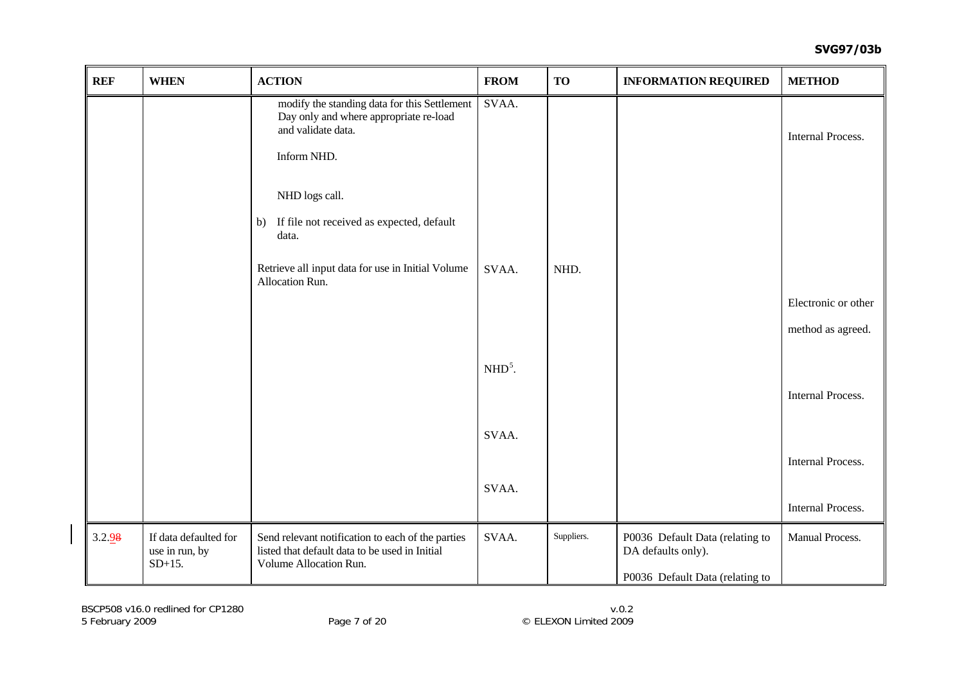<span id="page-16-0"></span>

| <b>REF</b> | <b>WHEN</b>                                          | <b>ACTION</b>                                                                                                                 | <b>FROM</b> | <b>TO</b>  | <b>INFORMATION REQUIRED</b>                           | <b>METHOD</b>            |
|------------|------------------------------------------------------|-------------------------------------------------------------------------------------------------------------------------------|-------------|------------|-------------------------------------------------------|--------------------------|
|            |                                                      | modify the standing data for this Settlement<br>Day only and where appropriate re-load<br>and validate data.                  | SVAA.       |            |                                                       | <b>Internal Process.</b> |
|            |                                                      | Inform NHD.                                                                                                                   |             |            |                                                       |                          |
|            |                                                      | NHD logs call.                                                                                                                |             |            |                                                       |                          |
|            |                                                      | If file not received as expected, default<br>b)<br>data.                                                                      |             |            |                                                       |                          |
|            |                                                      | Retrieve all input data for use in Initial Volume<br>Allocation Run.                                                          | SVAA.       | NHD.       |                                                       |                          |
|            |                                                      |                                                                                                                               |             |            |                                                       | Electronic or other      |
|            |                                                      |                                                                                                                               |             |            |                                                       | method as agreed.        |
|            |                                                      |                                                                                                                               | $NHD5$ .    |            |                                                       |                          |
|            |                                                      |                                                                                                                               |             |            |                                                       | Internal Process.        |
|            |                                                      |                                                                                                                               | SVAA.       |            |                                                       |                          |
|            |                                                      |                                                                                                                               |             |            |                                                       | <b>Internal Process.</b> |
|            |                                                      |                                                                                                                               | SVAA.       |            |                                                       |                          |
|            |                                                      |                                                                                                                               |             |            |                                                       | Internal Process.        |
| 3.2.98     | If data defaulted for<br>use in run, by<br>$SD+15$ . | Send relevant notification to each of the parties<br>listed that default data to be used in Initial<br>Volume Allocation Run. | SVAA.       | Suppliers. | P0036 Default Data (relating to<br>DA defaults only). | Manual Process.          |
|            |                                                      |                                                                                                                               |             |            | P0036 Default Data (relating to                       |                          |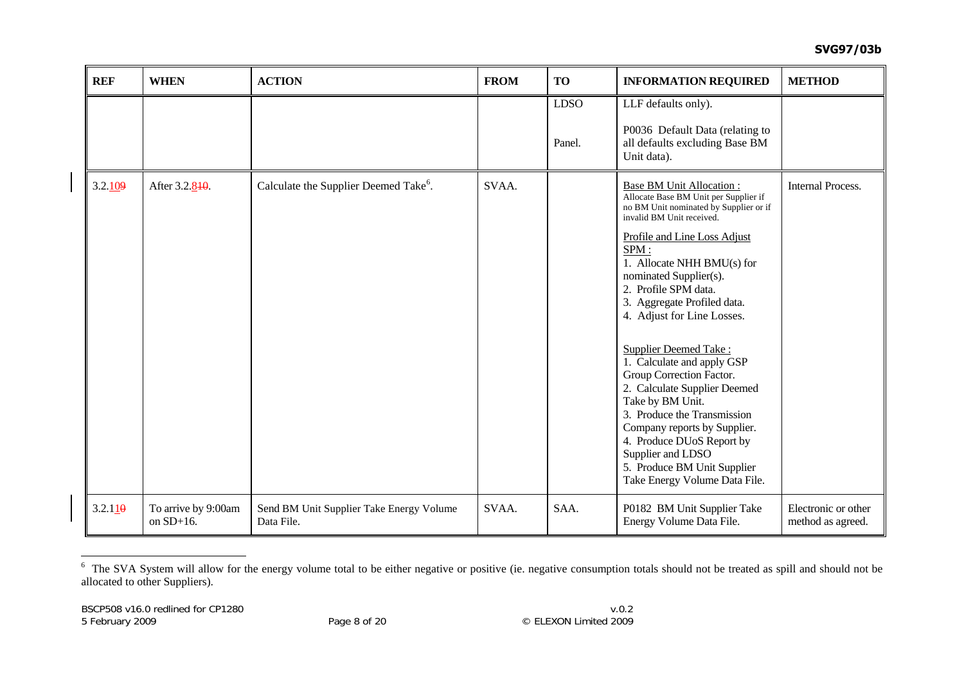| <b>REF</b> | <b>WHEN</b>                         | <b>ACTION</b>                                          | <b>FROM</b> | <b>TO</b>             | <b>INFORMATION REQUIRED</b>                                                                                                                                                                                                                                                                                                                                                                                                                                                                                                                                                                                                                                         | <b>METHOD</b>                            |
|------------|-------------------------------------|--------------------------------------------------------|-------------|-----------------------|---------------------------------------------------------------------------------------------------------------------------------------------------------------------------------------------------------------------------------------------------------------------------------------------------------------------------------------------------------------------------------------------------------------------------------------------------------------------------------------------------------------------------------------------------------------------------------------------------------------------------------------------------------------------|------------------------------------------|
|            |                                     |                                                        |             | <b>LDSO</b><br>Panel. | LLF defaults only).<br>P0036 Default Data (relating to<br>all defaults excluding Base BM<br>Unit data).                                                                                                                                                                                                                                                                                                                                                                                                                                                                                                                                                             |                                          |
| 3.2.109    | After 3.2.840.                      | Calculate the Supplier Deemed Take <sup>6</sup> .      | SVAA.       |                       | <b>Base BM Unit Allocation:</b><br>Allocate Base BM Unit per Supplier if<br>no BM Unit nominated by Supplier or if<br>invalid BM Unit received.<br>Profile and Line Loss Adjust<br>SPM:<br>1. Allocate NHH BMU(s) for<br>nominated Supplier(s).<br>2. Profile SPM data.<br>3. Aggregate Profiled data.<br>4. Adjust for Line Losses.<br><b>Supplier Deemed Take:</b><br>1. Calculate and apply GSP<br>Group Correction Factor.<br>2. Calculate Supplier Deemed<br>Take by BM Unit.<br>3. Produce the Transmission<br>Company reports by Supplier.<br>4. Produce DUoS Report by<br>Supplier and LDSO<br>5. Produce BM Unit Supplier<br>Take Energy Volume Data File. | Internal Process.                        |
| 3.2.110    | To arrive by 9:00am<br>on $SD+16$ . | Send BM Unit Supplier Take Energy Volume<br>Data File. | SVAA.       | SAA.                  | P0182 BM Unit Supplier Take<br>Energy Volume Data File.                                                                                                                                                                                                                                                                                                                                                                                                                                                                                                                                                                                                             | Electronic or other<br>method as agreed. |

<span id="page-17-0"></span><sup>&</sup>lt;sup>6</sup> The SVA System will allow for the energy volume total to be either negative or positive (ie. negative consumption totals should not be treated as spill and should not be allocated to other Suppliers).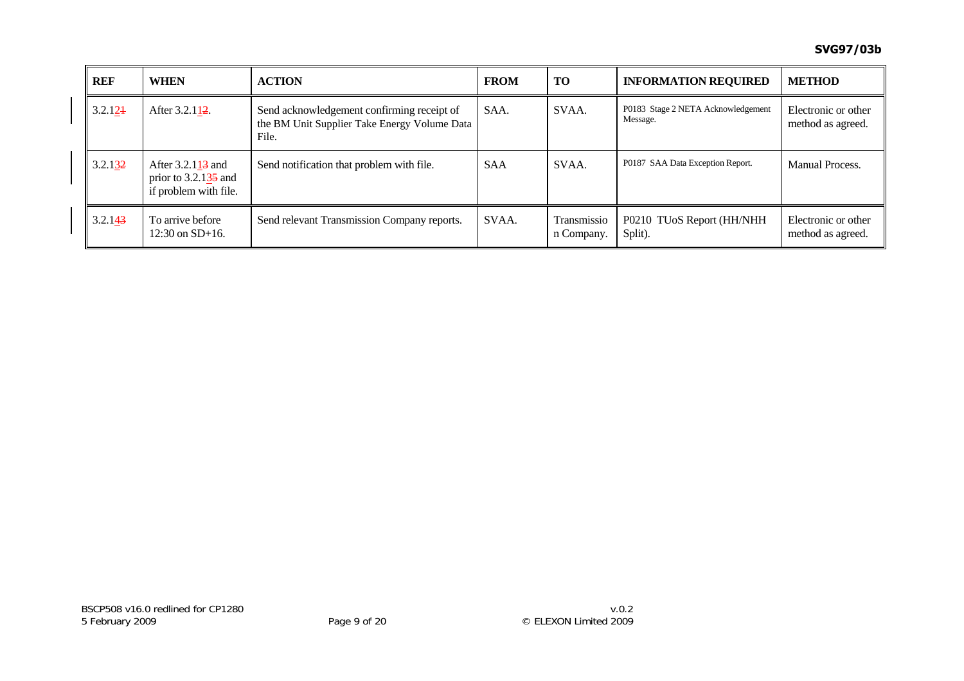| <b>REF</b> | <b>WHEN</b>                                                                       | <b>ACTION</b>                                                                                       | <b>FROM</b> | TO                        | <b>INFORMATION REQUIRED</b>                    | <b>METHOD</b>                            |
|------------|-----------------------------------------------------------------------------------|-----------------------------------------------------------------------------------------------------|-------------|---------------------------|------------------------------------------------|------------------------------------------|
| 3.2.124    | After 3.2.112.                                                                    | Send acknowledgement confirming receipt of<br>the BM Unit Supplier Take Energy Volume Data<br>File. | SAA.        | SVAA.                     | P0183 Stage 2 NETA Acknowledgement<br>Message. | Electronic or other<br>method as agreed. |
| 3.2.132    | After $3.2.113$ and<br>prior to $3.2.13\overline{5}$ and<br>if problem with file. | Send notification that problem with file.                                                           | <b>SAA</b>  | SVAA.                     | P0187 SAA Data Exception Report.               | Manual Process.                          |
| 3.2.143    | To arrive before<br>$12:30$ on $SD+16$ .                                          | Send relevant Transmission Company reports.                                                         | SVAA.       | Transmissio<br>n Company. | P0210 TUoS Report (HH/NHH<br>Split).           | Electronic or other<br>method as agreed. |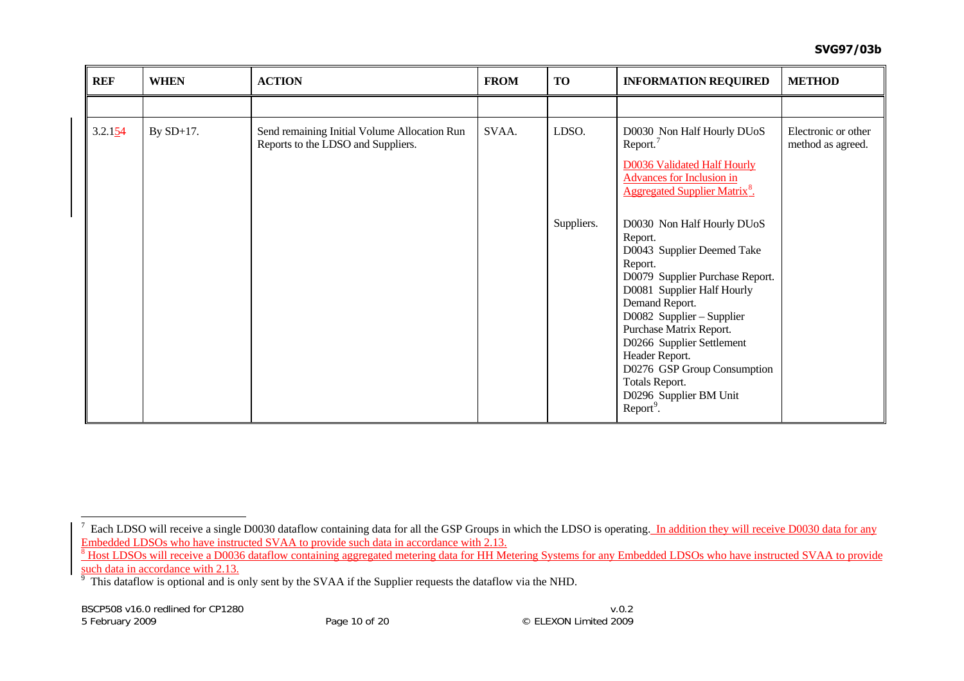| <b>REF</b> | <b>WHEN</b>  | <b>ACTION</b>                                                                      | <b>FROM</b> | TO         | <b>INFORMATION REQUIRED</b>                                                                                                                                                                                                                                                                                                                                                  | <b>METHOD</b>                            |
|------------|--------------|------------------------------------------------------------------------------------|-------------|------------|------------------------------------------------------------------------------------------------------------------------------------------------------------------------------------------------------------------------------------------------------------------------------------------------------------------------------------------------------------------------------|------------------------------------------|
|            |              |                                                                                    |             |            |                                                                                                                                                                                                                                                                                                                                                                              |                                          |
| 3.2.154    | By $SD+17$ . | Send remaining Initial Volume Allocation Run<br>Reports to the LDSO and Suppliers. | SVAA.       | LDSO.      | D0030 Non Half Hourly DUoS<br>Report. <sup>7</sup><br><b>D0036 Validated Half Hourly</b><br><b>Advances for Inclusion in</b><br><b>Aggregated Supplier Matrix<sup>8</sup>.</b>                                                                                                                                                                                               | Electronic or other<br>method as agreed. |
|            |              |                                                                                    |             | Suppliers. | D0030 Non Half Hourly DUoS<br>Report.<br>D0043 Supplier Deemed Take<br>Report.<br>D0079 Supplier Purchase Report.<br>D0081 Supplier Half Hourly<br>Demand Report.<br>D0082 Supplier – Supplier<br>Purchase Matrix Report.<br>D0266 Supplier Settlement<br>Header Report.<br>D0276 GSP Group Consumption<br>Totals Report.<br>D0296 Supplier BM Unit<br>Report <sup>9</sup> . |                                          |

<span id="page-19-0"></span> $^7$  Each LDSO will receive a single D0030 dataflow containing data for all the GSP Groups in which the LDSO is operating. In addition they will receive D0030 data for any Embedded LDSOs who have instructed SVAA to provide such data in accordance with 2.13.

<span id="page-19-1"></span><sup>&</sup>lt;sup>8</sup> Host LDSOs will receive a D0036 dataflow containing aggregated metering data for HH Metering Systems for any Embedded LDSOs who have instructed SVAA to provide such data in accordance with 2.13.

<span id="page-19-2"></span> $9$  This dataflow is optional and is only sent by the SVAA if the Supplier requests the dataflow via the NHD.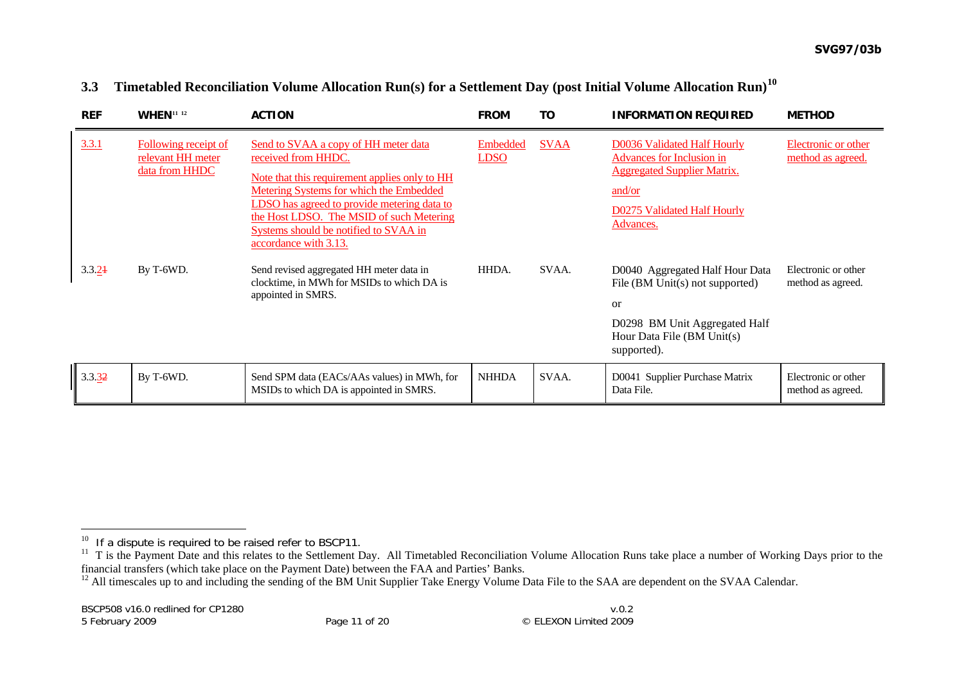| <b>REF</b> | <b>WHEN</b> <sup>11</sup> 12                                | <b>ACTION</b>                                                                                                                                                                                                                                                                                                               | <b>FROM</b>             | ΤO          | <b>INFORMATION REQUIRED</b>                                                                                                                                        | <b>METHOD</b>                            |
|------------|-------------------------------------------------------------|-----------------------------------------------------------------------------------------------------------------------------------------------------------------------------------------------------------------------------------------------------------------------------------------------------------------------------|-------------------------|-------------|--------------------------------------------------------------------------------------------------------------------------------------------------------------------|------------------------------------------|
| 3.3.1      | Following receipt of<br>relevant HH meter<br>data from HHDC | Send to SVAA a copy of HH meter data<br>received from HHDC.<br>Note that this requirement applies only to HH<br>Metering Systems for which the Embedded<br>LDSO has agreed to provide metering data to<br>the Host LDSO. The MSID of such Metering<br>Systems should be notified to SVAA in<br><u>accordance with 3.13.</u> | Embedded<br><b>LDSO</b> | <b>SVAA</b> | D0036 Validated Half Hourly<br><b>Advances for Inclusion in</b><br><b>Aggregated Supplier Matrix.</b><br>and/or<br><b>D0275 Validated Half Hourly</b><br>Advances. | Electronic or other<br>method as agreed. |
| 3.3.24     | By T-6WD.                                                   | Send revised aggregated HH meter data in<br>clocktime, in MWh for MSIDs to which DA is<br>appointed in SMRS.                                                                                                                                                                                                                | HHDA.                   | SVAA.       | D0040 Aggregated Half Hour Data<br>File (BM Unit(s) not supported)<br><b>or</b><br>D0298 BM Unit Aggregated Half<br>Hour Data File (BM Unit(s)<br>supported).      | Electronic or other<br>method as agreed. |
| 3.3.32     | By T-6WD.                                                   | Send SPM data (EACs/AAs values) in MWh, for<br>MSIDs to which DA is appointed in SMRS.                                                                                                                                                                                                                                      | <b>NHHDA</b>            | SVAA.       | D0041 Supplier Purchase Matrix<br>Data File.                                                                                                                       | Electronic or other<br>method as agreed. |

#### **3.3Timetabled Reconciliation Volume Allocation Run(s) for a Settlement Day (post Initial Volume Allocation Run)[10](#page-20-0)**

 $10$  If a dispute is required to be raised refer to BSCP11.

<span id="page-20-1"></span><span id="page-20-0"></span><sup>&</sup>lt;sup>11</sup> T is the Payment Date and this relates to the Settlement Day. All Timetabled Reconciliation Volume Allocation Runs take place a number of Working Days prior to the financial transfers (which take place on the Payment Date) between the FAA and Parties' Banks.

<span id="page-20-2"></span><sup>&</sup>lt;sup>12</sup> All timescales up to and including the sending of the BM Unit Supplier Take Energy Volume Data File to the SAA are dependent on the SVAA Calendar.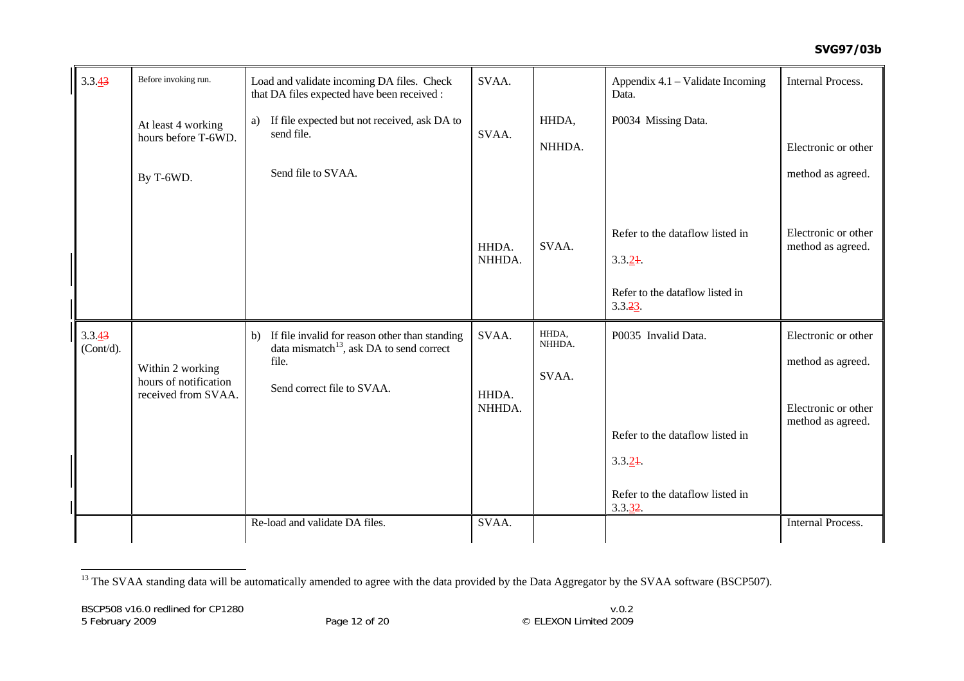| $3.3.\underline{43}$ | Before invoking run.                      | Load and validate incoming DA files. Check<br>that DA files expected have been received :                    | SVAA.           |                 | Appendix 4.1 – Validate Incoming<br>Data. | <b>Internal Process.</b>                 |
|----------------------|-------------------------------------------|--------------------------------------------------------------------------------------------------------------|-----------------|-----------------|-------------------------------------------|------------------------------------------|
|                      | At least 4 working<br>hours before T-6WD. | a) If file expected but not received, ask DA to<br>send file.                                                | SVAA.           | HHDA,           | P0034 Missing Data.                       |                                          |
|                      |                                           |                                                                                                              |                 | NHHDA.          |                                           | Electronic or other                      |
|                      | By T-6WD.                                 | Send file to SVAA.                                                                                           |                 |                 |                                           | method as agreed.                        |
|                      |                                           |                                                                                                              |                 |                 | Refer to the dataflow listed in           | Electronic or other                      |
|                      |                                           |                                                                                                              | HHDA.<br>NHHDA. | SVAA.           | 3.3.24                                    | method as agreed.                        |
|                      |                                           |                                                                                                              |                 |                 | Refer to the dataflow listed in<br>3.3.23 |                                          |
| 3.3.43<br>(Cont/d).  |                                           | If file invalid for reason other than standing<br>b)<br>data mismatch <sup>13</sup> , ask DA to send correct | SVAA.           | HHDA,<br>NHHDA. | P0035 Invalid Data.                       | Electronic or other                      |
|                      | Within 2 working<br>hours of notification | file.<br>Send correct file to SVAA.                                                                          |                 | SVAA.           |                                           | method as agreed.                        |
|                      | received from SVAA.                       |                                                                                                              | HHDA.<br>NHHDA. |                 |                                           | Electronic or other<br>method as agreed. |
|                      |                                           |                                                                                                              |                 |                 | Refer to the dataflow listed in           |                                          |
|                      |                                           |                                                                                                              |                 |                 | 3.3.24                                    |                                          |
|                      |                                           |                                                                                                              |                 |                 | Refer to the dataflow listed in<br>3.3.32 |                                          |
|                      |                                           | Re-load and validate DA files.                                                                               | SVAA.           |                 |                                           | <b>Internal Process.</b>                 |

<span id="page-21-0"></span><sup>13</sup> The SVAA standing data will be automatically amended to agree with the data provided by the Data Aggregator by the SVAA software (BSCP507).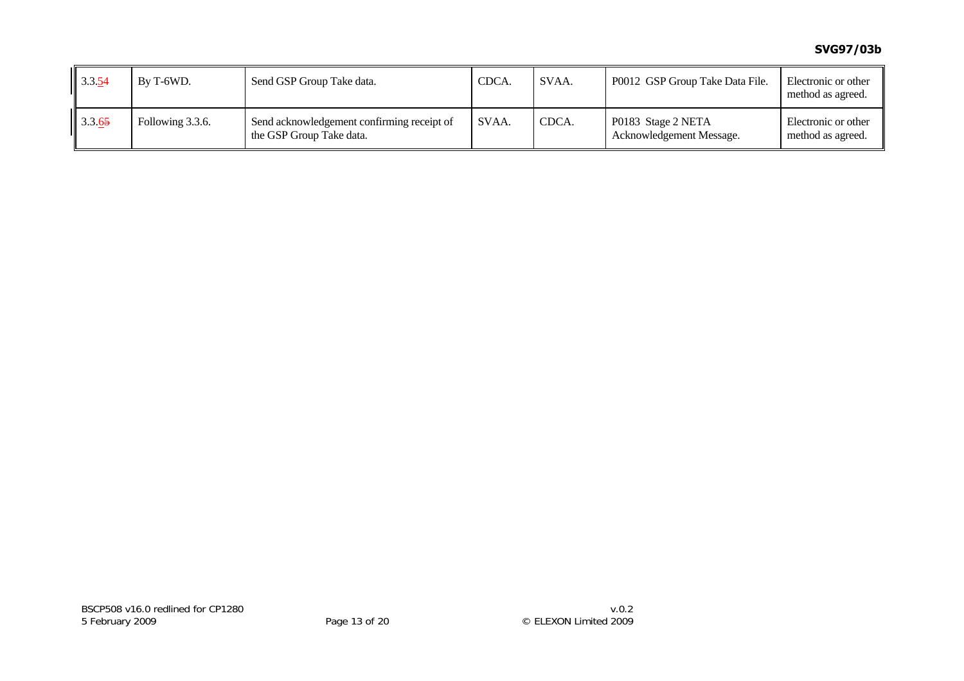| $\  3.3.54$ | By T-6WD.        | Send GSP Group Take data.                                              | CDCA. | SVAA. | P0012 GSP Group Take Data File.                | Electronic or other<br>method as agreed. |
|-------------|------------------|------------------------------------------------------------------------|-------|-------|------------------------------------------------|------------------------------------------|
| $\  3.3.65$ | Following 3.3.6. | Send acknowledgement confirming receipt of<br>the GSP Group Take data. | SVAA. | CDCA. | P0183 Stage 2 NETA<br>Acknowledgement Message. | Electronic or other<br>method as agreed. |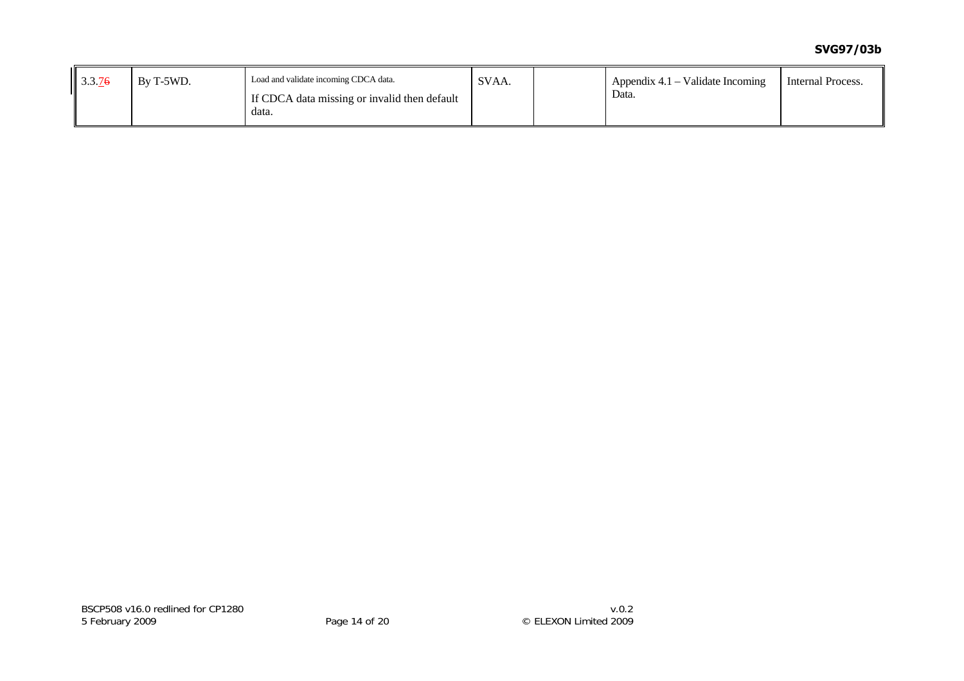## **SVG97/03b**

| 3.3.76 | By T-5WD. | Load and validate incoming CDCA data.                 | SVAA. | Appendix $4.1$ – Validate Incoming | Internal Process. |
|--------|-----------|-------------------------------------------------------|-------|------------------------------------|-------------------|
|        |           | If CDCA data missing or invalid then default<br>data. |       | Data.                              |                   |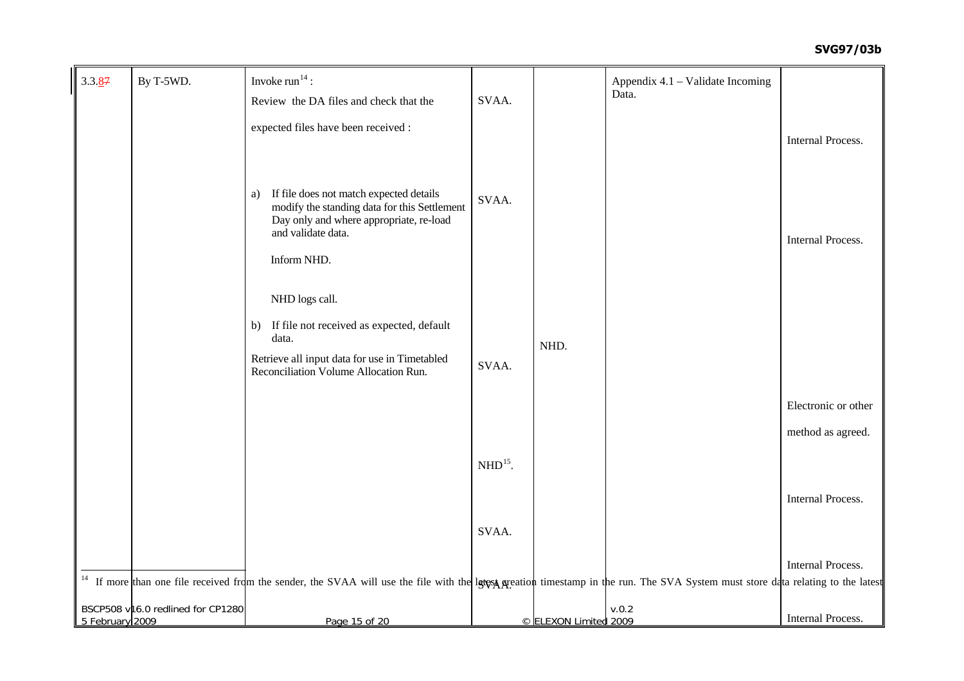## **SVG97/03b**

<span id="page-24-1"></span><span id="page-24-0"></span>

| 3.3.87          | By T-5WD.                         | Invoke $run14$ :                                                                                                                                                                                   |           |                       | Appendix 4.1 – Validate Incoming |                          |
|-----------------|-----------------------------------|----------------------------------------------------------------------------------------------------------------------------------------------------------------------------------------------------|-----------|-----------------------|----------------------------------|--------------------------|
|                 |                                   | Review the DA files and check that the                                                                                                                                                             | SVAA.     |                       | Data.                            |                          |
|                 |                                   | expected files have been received :                                                                                                                                                                |           |                       |                                  |                          |
|                 |                                   |                                                                                                                                                                                                    |           |                       |                                  | <b>Internal Process.</b> |
|                 |                                   | If file does not match expected details<br>a)<br>modify the standing data for this Settlement<br>Day only and where appropriate, re-load<br>and validate data.<br>Inform NHD.                      | SVAA.     |                       |                                  | <b>Internal Process.</b> |
|                 |                                   | NHD logs call.                                                                                                                                                                                     |           |                       |                                  |                          |
|                 |                                   | If file not received as expected, default<br>b)<br>data.                                                                                                                                           |           | NHD.                  |                                  |                          |
|                 |                                   | Retrieve all input data for use in Timetabled<br>Reconciliation Volume Allocation Run.                                                                                                             | SVAA.     |                       |                                  |                          |
|                 |                                   |                                                                                                                                                                                                    |           |                       |                                  | Electronic or other      |
|                 |                                   |                                                                                                                                                                                                    |           |                       |                                  | method as agreed.        |
|                 |                                   |                                                                                                                                                                                                    | $NHD15$ . |                       |                                  |                          |
|                 |                                   |                                                                                                                                                                                                    |           |                       |                                  | Internal Process.        |
|                 |                                   |                                                                                                                                                                                                    | SVAA.     |                       |                                  |                          |
|                 |                                   |                                                                                                                                                                                                    |           |                       |                                  |                          |
|                 |                                   | <sup>14</sup> If more than one file received from the sender, the SVAA will use the file with the let use the file with the let use the run. The SVA System must store data relating to the latest |           |                       |                                  | <b>Internal Process.</b> |
| 5 February 2009 | BSCP508 v16.0 redlined for CP1280 | Page 15 of 20                                                                                                                                                                                      |           | © ELEXON Limited 2009 | v.0.2                            | Internal Process.        |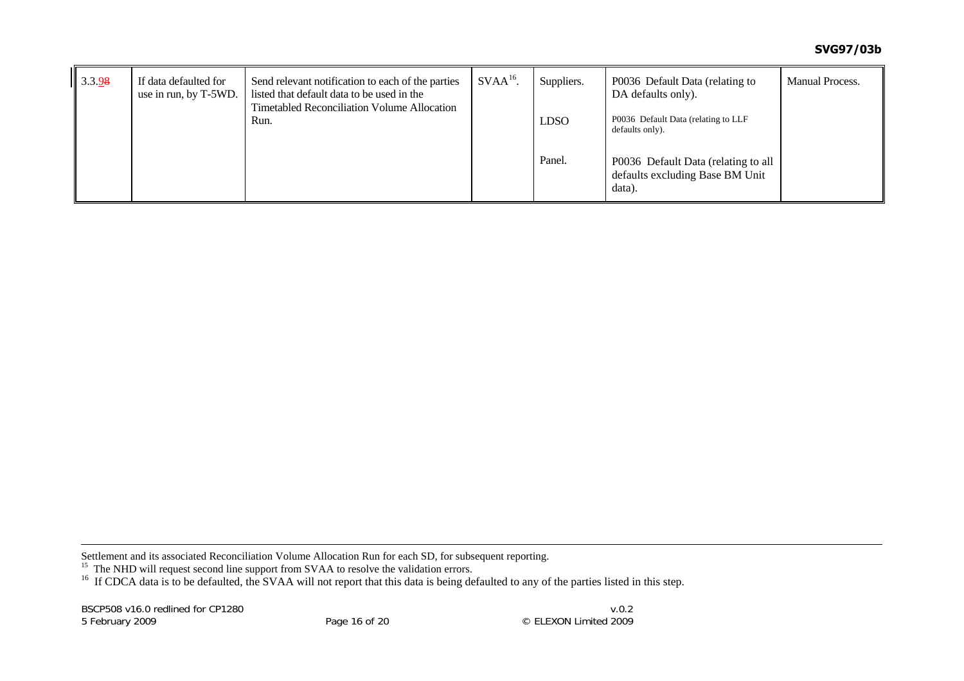| 3.3.98 | If data defaulted for<br>use in run, by T-5WD. | Send relevant notification to each of the parties<br>listed that default data to be used in the<br><b>Timetabled Reconciliation Volume Allocation</b> | $SVAA16$ . | Suppliers.  | P0036 Default Data (relating to<br>DA defaults only).                            | <b>Manual Process.</b> |
|--------|------------------------------------------------|-------------------------------------------------------------------------------------------------------------------------------------------------------|------------|-------------|----------------------------------------------------------------------------------|------------------------|
|        |                                                | Run.                                                                                                                                                  |            | <b>LDSO</b> | P0036 Default Data (relating to LLF<br>defaults only).                           |                        |
|        |                                                |                                                                                                                                                       |            | Panel.      | P0036 Default Data (relating to all<br>defaults excluding Base BM Unit<br>data). |                        |

Settlement and its associated Reconciliation Volume Allocation Run for each SD, for subsequent reporting.

<span id="page-25-0"></span><sup>15</sup> The NHD will request second line support from SVAA to resolve the validation errors.

<sup>16</sup> If CDCA data is to be defaulted, the SVAA will not report that this data is being defaulted to any of the parties listed in this step.

BSCP508 v16.0 redlined for CP1280 5 February 2009 Page 16 of 20 © ELEXON Limited 2009

 $v.0.2$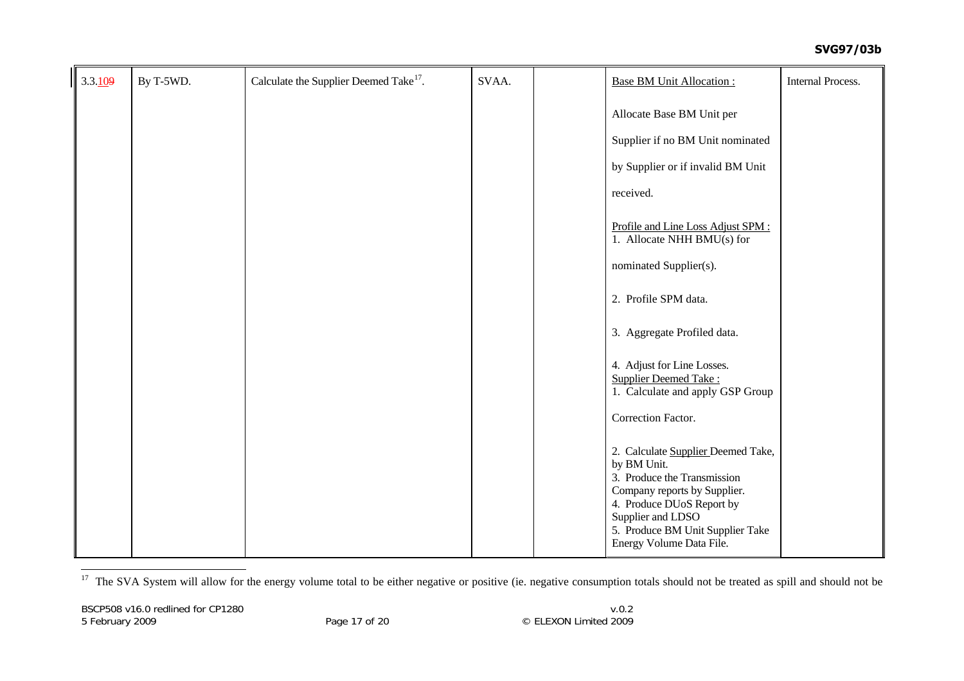| 3.3.109 | By T-5WD. | Calculate the Supplier Deemed Take <sup>17</sup> . | SVAA. | <b>Base BM Unit Allocation:</b>                                                                                                                                                                                                    | <b>Internal Process.</b> |
|---------|-----------|----------------------------------------------------|-------|------------------------------------------------------------------------------------------------------------------------------------------------------------------------------------------------------------------------------------|--------------------------|
|         |           |                                                    |       | Allocate Base BM Unit per                                                                                                                                                                                                          |                          |
|         |           |                                                    |       | Supplier if no BM Unit nominated                                                                                                                                                                                                   |                          |
|         |           |                                                    |       | by Supplier or if invalid BM Unit                                                                                                                                                                                                  |                          |
|         |           |                                                    |       | received.                                                                                                                                                                                                                          |                          |
|         |           |                                                    |       | Profile and Line Loss Adjust SPM :<br>1. Allocate NHH BMU(s) for                                                                                                                                                                   |                          |
|         |           |                                                    |       | nominated Supplier(s).                                                                                                                                                                                                             |                          |
|         |           |                                                    |       | 2. Profile SPM data.                                                                                                                                                                                                               |                          |
|         |           |                                                    |       | 3. Aggregate Profiled data.                                                                                                                                                                                                        |                          |
|         |           |                                                    |       | 4. Adjust for Line Losses.<br><b>Supplier Deemed Take:</b><br>1. Calculate and apply GSP Group                                                                                                                                     |                          |
|         |           |                                                    |       | Correction Factor.                                                                                                                                                                                                                 |                          |
|         |           |                                                    |       | 2. Calculate Supplier Deemed Take,<br>by BM Unit.<br>3. Produce the Transmission<br>Company reports by Supplier.<br>4. Produce DUoS Report by<br>Supplier and LDSO<br>5. Produce BM Unit Supplier Take<br>Energy Volume Data File. |                          |

<span id="page-26-0"></span><sup>17</sup> The SVA System will allow for the energy volume total to be either negative or positive (ie. negative consumption totals should not be treated as spill and should not be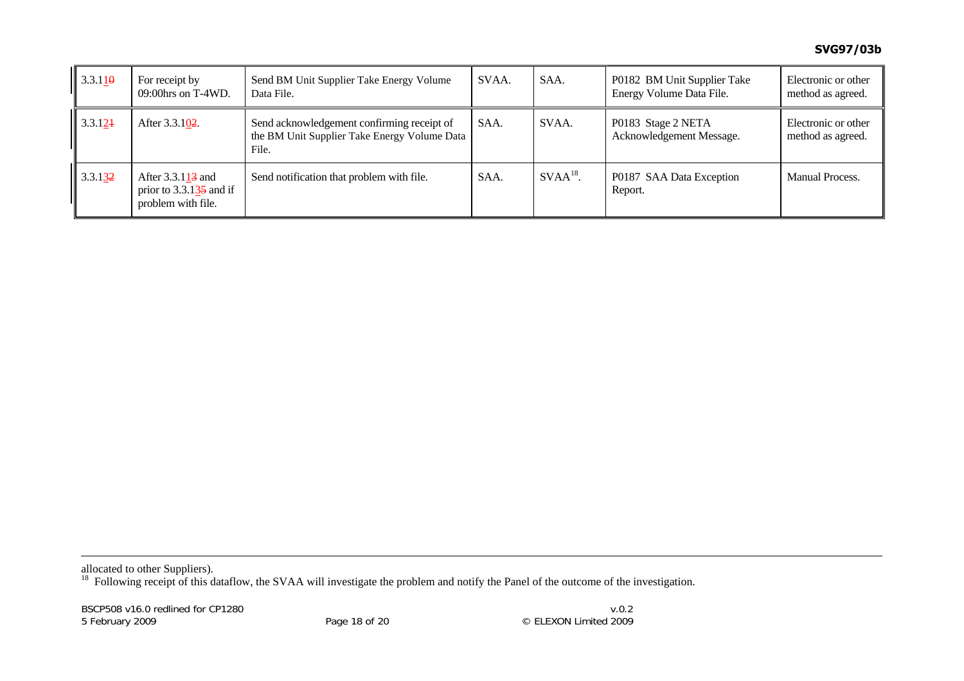| $3.3.11\theta$ | For receipt by<br>$09:00$ hrs on T-4WD.                                           | Send BM Unit Supplier Take Energy Volume<br>Data File.                                              | SVAA. | SAA.       | P0182 BM Unit Supplier Take<br>Energy Volume Data File. | Electronic or other<br>method as agreed. |
|----------------|-----------------------------------------------------------------------------------|-----------------------------------------------------------------------------------------------------|-------|------------|---------------------------------------------------------|------------------------------------------|
| 3.3.124        | After 3.3.102.                                                                    | Send acknowledgement confirming receipt of<br>the BM Unit Supplier Take Energy Volume Data<br>File. | SAA.  | SVAA.      | P0183 Stage 2 NETA<br>Acknowledgement Message.          | Electronic or other<br>method as agreed. |
| 3.3.132        | After $3.3.113$ and<br>prior to $3.3.1\overline{35}$ and if<br>problem with file. | Send notification that problem with file.                                                           | SAA.  | $SVAA18$ . | P0187 SAA Data Exception<br>Report.                     | Manual Process.                          |

allocated to other Suppliers).

<span id="page-27-0"></span><sup>18</sup> Following receipt of this dataflow, the SVAA will investigate the problem and notify the Panel of the outcome of the investigation.

BSCP508 v16.0 redlined for CP1280 5 February 2009 Page 18 of 20 © ELEXON Limited 2009

 $v.0.2$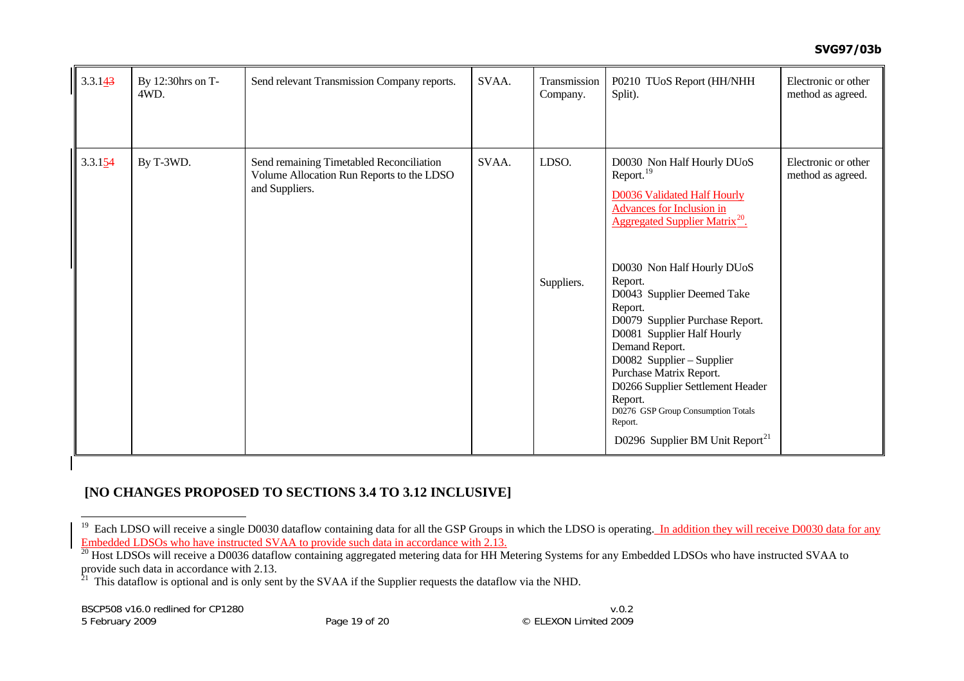#### **SVG97/03b**

| 3.3.143 | By 12:30hrs on T-<br>4WD. | Send relevant Transmission Company reports.                                                             | SVAA. | Transmission<br>Company. | P0210 TUoS Report (HH/NHH<br>Split).                                                                                                                                                                                                                                                                                                                                                                                                                                                                                                                    | Electronic or other<br>method as agreed. |
|---------|---------------------------|---------------------------------------------------------------------------------------------------------|-------|--------------------------|---------------------------------------------------------------------------------------------------------------------------------------------------------------------------------------------------------------------------------------------------------------------------------------------------------------------------------------------------------------------------------------------------------------------------------------------------------------------------------------------------------------------------------------------------------|------------------------------------------|
| 3.3.154 | By T-3WD.                 | Send remaining Timetabled Reconciliation<br>Volume Allocation Run Reports to the LDSO<br>and Suppliers. | SVAA. | LDSO.<br>Suppliers.      | D0030 Non Half Hourly DUoS<br>Report. <sup>19</sup><br><b>D0036 Validated Half Hourly</b><br><b>Advances for Inclusion in</b><br>Aggregated Supplier Matrix <sup>20</sup> .<br>D0030 Non Half Hourly DUoS<br>Report.<br>D0043 Supplier Deemed Take<br>Report.<br>D0079 Supplier Purchase Report.<br>D0081 Supplier Half Hourly<br>Demand Report.<br>D0082 Supplier – Supplier<br>Purchase Matrix Report.<br>D0266 Supplier Settlement Header<br>Report.<br>D0276 GSP Group Consumption Totals<br>Report.<br>D0296 Supplier BM Unit Report <sup>21</sup> | Electronic or other<br>method as agreed. |

# **[NO CHANGES PROPOSED TO SECTIONS 3.4 TO 3.12 INCLUSIVE]**

<span id="page-28-0"></span><sup>&</sup>lt;sup>19</sup> Each LDSO will receive a single D0030 dataflow containing data for all the GSP Groups in which the LDSO is operating. In addition they will receive D0030 data for any Embedded LDSOs who have instructed SVAA to provide such data in accordance with 2.13.

<span id="page-28-1"></span><sup>&</sup>lt;sup>20</sup> Host LDSOs will receive a D0036 dataflow containing aggregated metering data for HH Metering Systems for any Embedded LDSOs who have instructed SVAA to provide such data in accordance with 2.13.

<span id="page-28-2"></span> $21$  This dataflow is optional and is only sent by the SVAA if the Supplier requests the dataflow via the NHD.